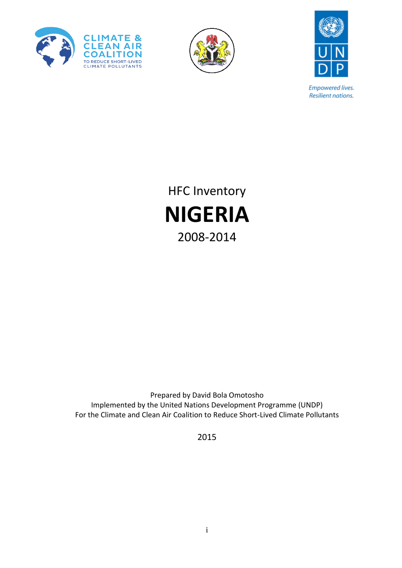





**Empowered lives.** Resilient nations.

HFC Inventory **NIGERIA** 2008-2014

Prepared by David Bola Omotosho Implemented by the United Nations Development Programme (UNDP) For the Climate and Clean Air Coalition to Reduce Short-Lived Climate Pollutants

2015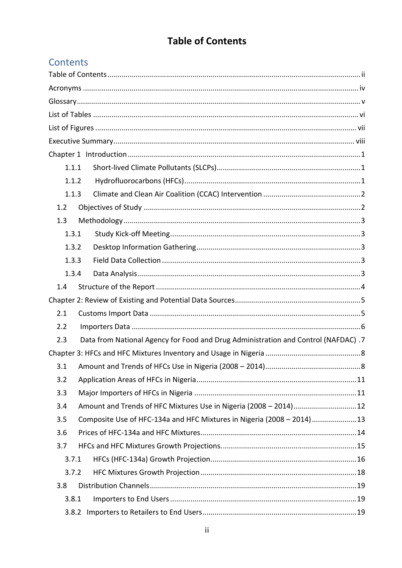# **Table of Contents**

# <span id="page-1-0"></span>Contents

|     | 1.1.1 |                                                                                    |  |
|-----|-------|------------------------------------------------------------------------------------|--|
|     | 1.1.2 |                                                                                    |  |
|     | 1.1.3 |                                                                                    |  |
| 1.2 |       |                                                                                    |  |
| 1.3 |       |                                                                                    |  |
|     | 1.3.1 |                                                                                    |  |
|     | 1.3.2 |                                                                                    |  |
|     | 1.3.3 |                                                                                    |  |
|     | 1.3.4 |                                                                                    |  |
| 1.4 |       |                                                                                    |  |
|     |       |                                                                                    |  |
| 2.1 |       |                                                                                    |  |
| 2.2 |       |                                                                                    |  |
| 2.3 |       | Data from National Agency for Food and Drug Administration and Control (NAFDAC) .7 |  |
|     |       |                                                                                    |  |
| 3.1 |       |                                                                                    |  |
| 3.2 |       |                                                                                    |  |
| 3.3 |       |                                                                                    |  |
| 3.4 |       | Amount and Trends of HFC Mixtures Use in Nigeria (2008 - 2014)12                   |  |
| 3.5 |       | Composite Use of HFC-134a and HFC Mixtures in Nigeria (2008 - 2014)13              |  |
| 3.6 |       |                                                                                    |  |
| 3.7 |       |                                                                                    |  |
|     | 3.7.1 |                                                                                    |  |
|     | 3.7.2 |                                                                                    |  |
| 3.8 |       |                                                                                    |  |
|     | 3.8.1 |                                                                                    |  |
|     | 3.8.2 |                                                                                    |  |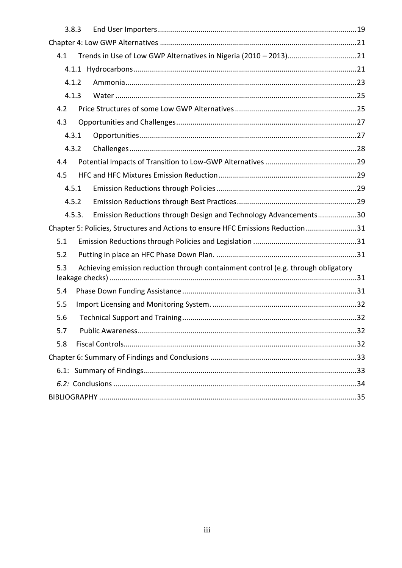<span id="page-2-0"></span>

|     | 3.8.3  |                                                                                   |  |  |  |
|-----|--------|-----------------------------------------------------------------------------------|--|--|--|
|     |        |                                                                                   |  |  |  |
| 4.1 |        |                                                                                   |  |  |  |
|     |        |                                                                                   |  |  |  |
|     | 4.1.2  |                                                                                   |  |  |  |
|     | 4.1.3  |                                                                                   |  |  |  |
| 4.2 |        |                                                                                   |  |  |  |
| 4.3 |        |                                                                                   |  |  |  |
|     | 4.3.1  |                                                                                   |  |  |  |
|     | 4.3.2  |                                                                                   |  |  |  |
| 4.4 |        |                                                                                   |  |  |  |
| 4.5 |        |                                                                                   |  |  |  |
|     | 4.5.1  |                                                                                   |  |  |  |
|     | 4.5.2  |                                                                                   |  |  |  |
|     | 4.5.3. | Emission Reductions through Design and Technology Advancements30                  |  |  |  |
|     |        | Chapter 5: Policies, Structures and Actions to ensure HFC Emissions Reduction 31  |  |  |  |
| 5.1 |        |                                                                                   |  |  |  |
| 5.2 |        |                                                                                   |  |  |  |
| 5.3 |        | Achieving emission reduction through containment control (e.g. through obligatory |  |  |  |
| 5.4 |        |                                                                                   |  |  |  |
| 5.5 |        |                                                                                   |  |  |  |
| 5.6 |        |                                                                                   |  |  |  |
| 5.7 |        |                                                                                   |  |  |  |
| 5.8 |        |                                                                                   |  |  |  |
|     |        |                                                                                   |  |  |  |
|     |        |                                                                                   |  |  |  |
|     |        |                                                                                   |  |  |  |
|     |        |                                                                                   |  |  |  |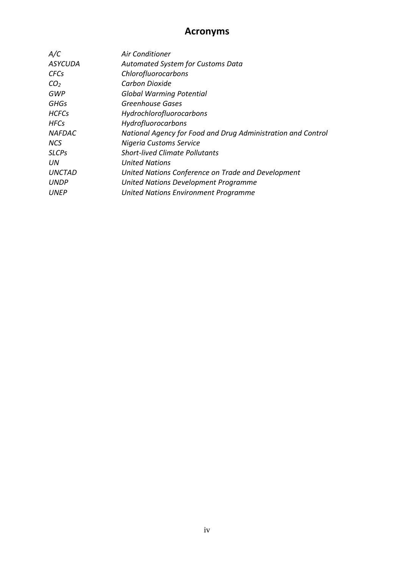# **Acronyms**

| A/C             | <b>Air Conditioner</b>                                       |
|-----------------|--------------------------------------------------------------|
| <b>ASYCUDA</b>  | <b>Automated System for Customs Data</b>                     |
| <b>CFCs</b>     | Chlorofluorocarbons                                          |
| CO <sub>2</sub> | Carbon Dioxide                                               |
| GWP             | <b>Global Warming Potential</b>                              |
| <b>GHGs</b>     | Greenhouse Gases                                             |
| <b>HCFCs</b>    | Hydrochlorofluorocarbons                                     |
| <b>HFCs</b>     | Hydrofluorocarbons                                           |
| <b>NAFDAC</b>   | National Agency for Food and Drug Administration and Control |
| <b>NCS</b>      | Nigeria Customs Service                                      |
| <b>SLCPs</b>    | <b>Short-lived Climate Pollutants</b>                        |
| UN              | <b>United Nations</b>                                        |
| <b>UNCTAD</b>   | United Nations Conference on Trade and Development           |
| <b>UNDP</b>     | United Nations Development Programme                         |
| UNEP            | <b>United Nations Environment Programme</b>                  |
|                 |                                                              |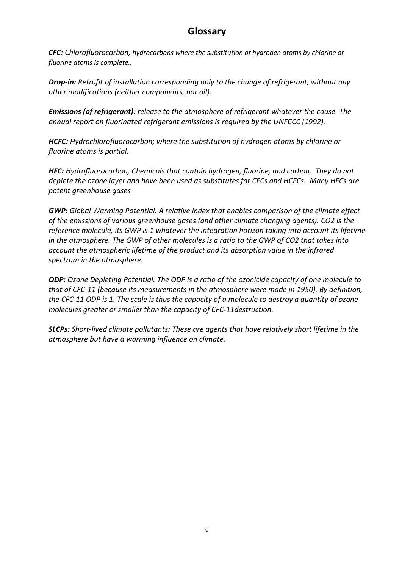# **Glossary**

<span id="page-4-0"></span>*CFC: Chlorofluorocarbon, hydrocarbons where the substitution of hydrogen atoms by chlorine or fluorine atoms is complete..*

*Drop-in: Retrofit of installation corresponding only to the change of refrigerant, without any other modifications (neither components, nor oil).*

*Emissions (of refrigerant): release to the atmosphere of refrigerant whatever the cause. The annual report on fluorinated refrigerant emissions is required by the UNFCCC (1992).*

*HCFC: Hydrochlorofluorocarbon; where the substitution of hydrogen atoms by chlorine or fluorine atoms is partial.*

*HFC: Hydrofluorocarbon, Chemicals that contain hydrogen, fluorine, and carbon. They do not deplete the ozone layer and have been used as substitutes for CFCs and HCFCs. Many HFCs are potent greenhouse gases* 

*GWP: Global Warming Potential. A relative index that enables comparison of the climate effect of the emissions of various greenhouse gases (and other climate changing agents). CO2 is the reference molecule, its GWP is 1 whatever the integration horizon taking into account its lifetime in the atmosphere. The GWP of other molecules is a ratio to the GWP of CO2 that takes into account the atmospheric lifetime of the product and its absorption value in the infrared spectrum in the atmosphere.*

*ODP: Ozone Depleting Potential. The ODP is a ratio of the ozonicide capacity of one molecule to that of CFC-11 (because its measurements in the atmosphere were made in 1950). By definition, the CFC-11 ODP is 1. The scale is thus the capacity of a molecule to destroy a quantity of ozone molecules greater or smaller than the capacity of CFC-11destruction.*

*SLCPs: Short-lived climate pollutants: These are agents that have relatively short lifetime in the atmosphere but have a warming influence on climate.*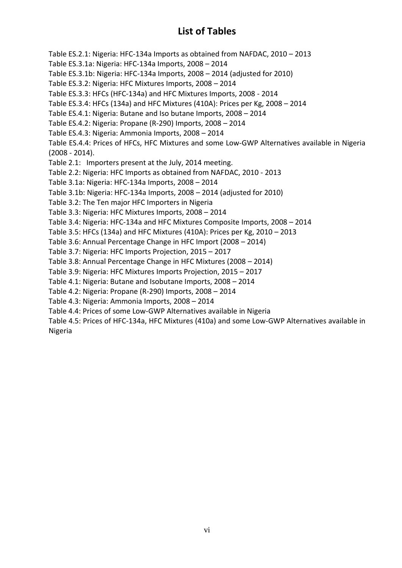# **List of Tables**

<span id="page-5-0"></span>Table ES.2.1: Nigeria: HFC-134a Imports as obtained from NAFDAC, 2010 – 2013

Table ES.3.1a: Nigeria: HFC-134a Imports, 2008 – 2014

Table ES.3.1b: Nigeria: HFC-134a Imports, 2008 – 2014 (adjusted for 2010)

Table ES.3.2: Nigeria: HFC Mixtures Imports, 2008 – 2014

Table ES.3.3: HFCs (HFC-134a) and HFC Mixtures Imports, 2008 - 2014

Table ES.3.4: HFCs (134a) and HFC Mixtures (410A): Prices per Kg, 2008 – 2014

Table ES.4.1: Nigeria: Butane and Iso butane Imports, 2008 – 2014

Table ES.4.2: Nigeria: Propane (R-290) Imports, 2008 – 2014

Table ES.4.3: Nigeria: Ammonia Imports, 2008 – 2014

Table ES.4.4: Prices of HFCs, HFC Mixtures and some Low-GWP Alternatives available in Nigeria (2008 - 2014).

Table 2.1: Importers present at the July, 2014 meeting.

Table 2.2: Nigeria: HFC Imports as obtained from NAFDAC, 2010 - 2013

Table 3.1a: Nigeria: HFC-134a Imports, 2008 – 2014

Table 3.1b: Nigeria: HFC-134a Imports, 2008 – 2014 (adjusted for 2010)

Table 3.2: The Ten major HFC Importers in Nigeria

Table 3.3: Nigeria: HFC Mixtures Imports, 2008 – 2014

Table 3.4: Nigeria: HFC-134a and HFC Mixtures Composite Imports, 2008 – 2014

Table 3.5: HFCs (134a) and HFC Mixtures (410A): Prices per Kg, 2010 – 2013

Table 3.6: Annual Percentage Change in HFC Import (2008 – 2014)

Table 3.7: Nigeria: HFC Imports Projection, 2015 – 2017

Table 3.8: Annual Percentage Change in HFC Mixtures (2008 – 2014)

Table 3.9: Nigeria: HFC Mixtures Imports Projection, 2015 – 2017

Table 4.1: Nigeria: Butane and Isobutane Imports, 2008 – 2014

Table 4.2: Nigeria: Propane (R-290) Imports, 2008 – 2014

Table 4.3: Nigeria: Ammonia Imports, 2008 – 2014

Table 4.4: Prices of some Low-GWP Alternatives available in Nigeria

Table 4.5: Prices of HFC-134a, HFC Mixtures (410a) and some Low-GWP Alternatives available in Nigeria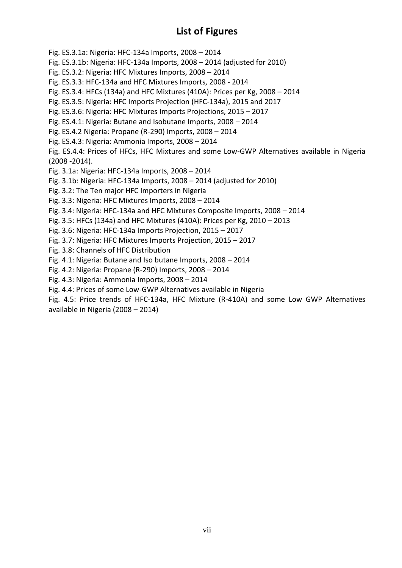# **List of Figures**

<span id="page-6-0"></span>Fig. ES.3.1a: Nigeria: HFC-134a Imports, 2008 – 2014

- Fig. ES.3.1b: Nigeria: HFC-134a Imports, 2008 2014 (adjusted for 2010)
- Fig. ES.3.2: Nigeria: HFC Mixtures Imports, 2008 2014
- Fig. ES.3.3: HFC-134a and HFC Mixtures Imports, 2008 2014
- Fig. ES.3.4: HFCs (134a) and HFC Mixtures (410A): Prices per Kg, 2008 2014
- Fig. ES.3.5: Nigeria: HFC Imports Projection (HFC-134a), 2015 and 2017
- Fig. ES.3.6: Nigeria: HFC Mixtures Imports Projections, 2015 2017
- Fig. ES.4.1: Nigeria: Butane and Isobutane Imports, 2008 2014
- Fig. ES.4.2 Nigeria: Propane (R-290) Imports, 2008 2014
- Fig. ES.4.3: Nigeria: Ammonia Imports, 2008 2014

Fig. ES.4.4: Prices of HFCs, HFC Mixtures and some Low-GWP Alternatives available in Nigeria (2008 -2014).

- Fig. 3.1a: Nigeria: HFC-134a Imports, 2008 2014
- Fig. 3.1b: Nigeria: HFC-134a Imports, 2008 2014 (adjusted for 2010)
- Fig. 3.2: The Ten major HFC Importers in Nigeria
- Fig. 3.3: Nigeria: HFC Mixtures Imports, 2008 2014
- Fig. 3.4: Nigeria: HFC-134a and HFC Mixtures Composite Imports, 2008 2014
- Fig. 3.5: HFCs (134a) and HFC Mixtures (410A): Prices per Kg, 2010 2013
- Fig. 3.6: Nigeria: HFC-134a Imports Projection, 2015 2017
- Fig. 3.7: Nigeria: HFC Mixtures Imports Projection, 2015 2017
- Fig. 3.8: Channels of HFC Distribution
- Fig. 4.1: Nigeria: Butane and Iso butane Imports, 2008 2014
- Fig. 4.2: Nigeria: Propane (R-290) Imports, 2008 2014
- Fig. 4.3: Nigeria: Ammonia Imports, 2008 2014
- Fig. 4.4: Prices of some Low-GWP Alternatives available in Nigeria

Fig. 4.5: Price trends of HFC-134a, HFC Mixture (R-410A) and some Low GWP Alternatives available in Nigeria (2008 – 2014)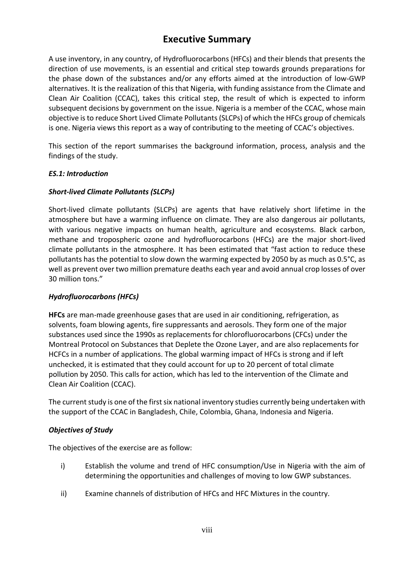# **Executive Summary**

<span id="page-7-0"></span>A use inventory, in any country, of Hydrofluorocarbons (HFCs) and their blends that presents the direction of use movements, is an essential and critical step towards grounds preparations for the phase down of the substances and/or any efforts aimed at the introduction of low-GWP alternatives. It is the realization of this that Nigeria, with funding assistance from the Climate and Clean Air Coalition (CCAC), takes this critical step, the result of which is expected to inform subsequent decisions by government on the issue. Nigeria is a member of the CCAC, whose main objective is to reduce Short Lived Climate Pollutants (SLCPs) of which the HFCs group of chemicals is one. Nigeria views this report as a way of contributing to the meeting of CCAC's objectives.

This section of the report summarises the background information, process, analysis and the findings of the study.

#### *ES.1: Introduction*

#### *Short-lived Climate Pollutants (SLCPs)*

Short-lived climate pollutants (SLCPs) are agents that have relatively short lifetime in the atmosphere but have a warming influence on climate. They are also dangerous air pollutants, with various negative impacts on human health, agriculture and ecosystems. Black carbon, methane and tropospheric ozone and hydrofluorocarbons (HFCs) are the major short-lived climate pollutants in the atmosphere. It has been estimated that "fast action to reduce these pollutants has the potential to slow down the warming expected by 2050 by as much as 0.5°C, as well as prevent over two million premature deaths each year and avoid annual crop losses of over 30 million tons."

## *Hydrofluorocarbons (HFCs)*

**HFCs** are man-made greenhouse gases that are used in air conditioning, refrigeration, as solvents, foam blowing agents, fire suppressants and aerosols. They form one of the major substances used since the 1990s as replacements for chlorofluorocarbons (CFCs) under the Montreal Protocol on Substances that Deplete the Ozone Layer, and are also replacements for HCFCs in a number of applications. The global warming impact of HFCs is strong and if left unchecked, it is estimated that they could account for up to 20 percent of total climate pollution by 2050. This calls for action, which has led to the intervention of the Climate and Clean Air Coalition (CCAC).

The current study is one of the first six national inventory studies currently being undertaken with the support of the CCAC in Bangladesh, Chile, Colombia, Ghana, Indonesia and Nigeria.

## *Objectives of Study*

The objectives of the exercise are as follow:

- i) Establish the volume and trend of HFC consumption/Use in Nigeria with the aim of determining the opportunities and challenges of moving to low GWP substances.
- ii) Examine channels of distribution of HFCs and HFC Mixtures in the country.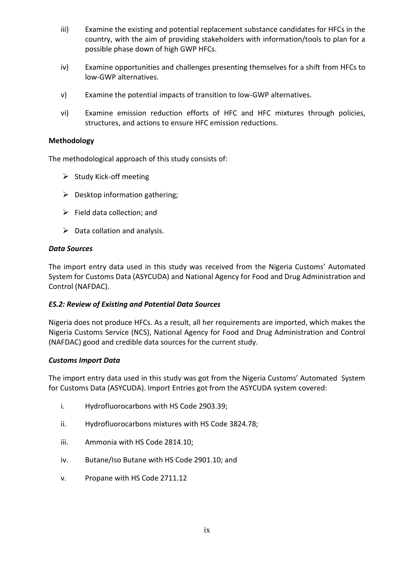- iii) Examine the existing and potential replacement substance candidates for HFCs in the country, with the aim of providing stakeholders with information/tools to plan for a possible phase down of high GWP HFCs.
- iv) Examine opportunities and challenges presenting themselves for a shift from HFCs to low-GWP alternatives.
- v) Examine the potential impacts of transition to low-GWP alternatives.
- vi) Examine emission reduction efforts of HFC and HFC mixtures through policies, structures, and actions to ensure HFC emission reductions.

#### **Methodology**

The methodological approach of this study consists of:

- $\triangleright$  Study Kick-off meeting
- $\triangleright$  Desktop information gathering;
- $\triangleright$  Field data collection; and
- $\triangleright$  Data collation and analysis.

#### *Data Sources*

The import entry data used in this study was received from the Nigeria Customs' Automated System for Customs Data (ASYCUDA) and National Agency for Food and Drug Administration and Control (NAFDAC).

#### *ES.2: Review of Existing and Potential Data Sources*

Nigeria does not produce HFCs. As a result, all her requirements are imported, which makes the Nigeria Customs Service (NCS), National Agency for Food and Drug Administration and Control (NAFDAC) good and credible data sources for the current study.

#### *Customs Import Data*

The import entry data used in this study was got from the Nigeria Customs' Automated System for Customs Data (ASYCUDA). Import Entries got from the ASYCUDA system covered:

- i. Hydrofluorocarbons with HS Code 2903.39;
- ii. Hydrofluorocarbons mixtures with HS Code 3824.78;
- iii. Ammonia with HS Code 2814.10;
- iv. Butane/Iso Butane with HS Code 2901.10; and
- v. Propane with HS Code 2711.12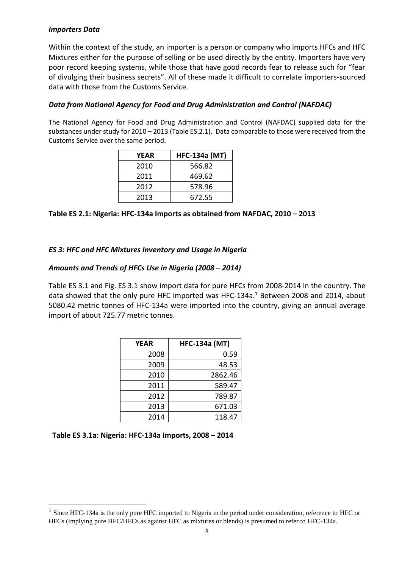#### *Importers Data*

Within the context of the study, an importer is a person or company who imports HFCs and HFC Mixtures either for the purpose of selling or be used directly by the entity. Importers have very poor record keeping systems, while those that have good records fear to release such for "fear of divulging their business secrets". All of these made it difficult to correlate importers-sourced data with those from the Customs Service.

### *Data from National Agency for Food and Drug Administration and Control (NAFDAC)*

The National Agency for Food and Drug Administration and Control (NAFDAC) supplied data for the substances under study for 2010 – 2013 (Table ES.2.1). Data comparable to those were received from the Customs Service over the same period.

| YEAR | <b>HFC-134a (MT)</b> |
|------|----------------------|
| 2010 | 566.82               |
| 2011 | 469.62               |
| 2012 | 578.96               |
| 2013 | 672.55               |

**Table ES 2.1: Nigeria: HFC-134a Imports as obtained from NAFDAC, 2010 – 2013**

#### *ES 3: HFC and HFC Mixtures Inventory and Usage in Nigeria*

#### *Amounts and Trends of HFCs Use in Nigeria (2008 – 2014)*

Table ES 3.1 and Fig. ES 3.1 show import data for pure HFCs from 2008-2014 in the country. The data showed that the only pure HFC imported was HFC-134a.<sup>1</sup> Between 2008 and 2014, about 5080.42 metric tonnes of HFC-134a were imported into the country, giving an annual average import of about 725.77 metric tonnes.

| <b>YEAR</b> | <b>HFC-134a (MT)</b> |
|-------------|----------------------|
| 2008        | 0.59                 |
| 2009        | 48.53                |
| 2010        | 2862.46              |
| 2011        | 589.47               |
| 2012        | 789.87               |
| 2013        | 671.03               |
| 2014        | 118.47               |

1

<sup>&</sup>lt;sup>1</sup> Since HFC-134a is the only pure HFC imported to Nigeria in the period under consideration, reference to HFC or HFCs (implying pure HFC/HFCs as against HFC as mixtures or blends) is presumed to refer to HFC-134a.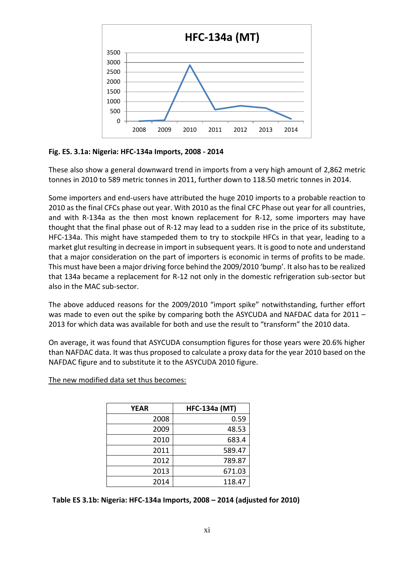

**Fig. ES. 3.1a: Nigeria: HFC-134a Imports, 2008 - 2014**

These also show a general downward trend in imports from a very high amount of 2,862 metric tonnes in 2010 to 589 metric tonnes in 2011, further down to 118.50 metric tonnes in 2014.

Some importers and end-users have attributed the huge 2010 imports to a probable reaction to 2010 as the final CFCs phase out year. With 2010 as the final CFC Phase out year for all countries, and with R-134a as the then most known replacement for R-12, some importers may have thought that the final phase out of R-12 may lead to a sudden rise in the price of its substitute, HFC-134a. This might have stampeded them to try to stockpile HFCs in that year, leading to a market glut resulting in decrease in import in subsequent years. It is good to note and understand that a major consideration on the part of importers is economic in terms of profits to be made. This must have been a major driving force behind the 2009/2010 'bump'. It also has to be realized that 134a became a replacement for R-12 not only in the domestic refrigeration sub-sector but also in the MAC sub-sector.

The above adduced reasons for the 2009/2010 "import spike" notwithstanding, further effort was made to even out the spike by comparing both the ASYCUDA and NAFDAC data for 2011 -2013 for which data was available for both and use the result to "transform" the 2010 data.

On average, it was found that ASYCUDA consumption figures for those years were 20.6% higher than NAFDAC data. It was thus proposed to calculate a proxy data for the year 2010 based on the NAFDAC figure and to substitute it to the ASYCUDA 2010 figure.

| <b>YEAR</b> | <b>HFC-134a (MT)</b> |
|-------------|----------------------|
| 2008        | 0.59                 |
| 2009        | 48.53                |
| 2010        | 683.4                |
| 2011        | 589.47               |
| 2012        | 789.87               |
| 2013        | 671.03               |
| 2014        | 118.47               |

The new modified data set thus becomes:

 **Table ES 3.1b: Nigeria: HFC-134a Imports, 2008 – 2014 (adjusted for 2010)**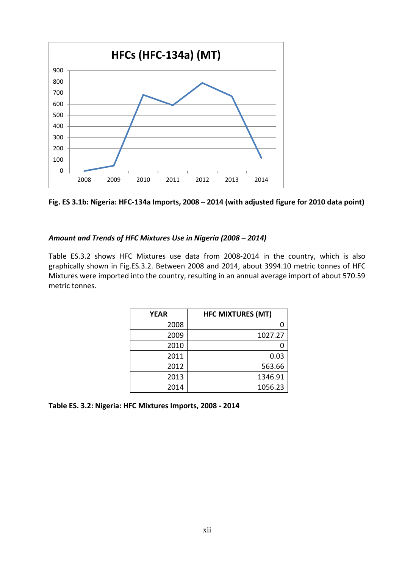

**Fig. ES 3.1b: Nigeria: HFC-134a Imports, 2008 – 2014 (with adjusted figure for 2010 data point)**

#### *Amount and Trends of HFC Mixtures Use in Nigeria (2008 – 2014)*

Table ES.3.2 shows HFC Mixtures use data from 2008-2014 in the country, which is also graphically shown in Fig.ES.3.2. Between 2008 and 2014, about 3994.10 metric tonnes of HFC Mixtures were imported into the country, resulting in an annual average import of about 570.59 metric tonnes.

| <b>YEAR</b> | <b>HFC MIXTURES (MT)</b> |
|-------------|--------------------------|
| 2008        |                          |
| 2009        | 1027.27                  |
| 2010        |                          |
| 2011        | 0.03                     |
| 2012        | 563.66                   |
| 2013        | 1346.91                  |
| 2014        | 1056.23                  |

**Table ES. 3.2: Nigeria: HFC Mixtures Imports, 2008 - 2014**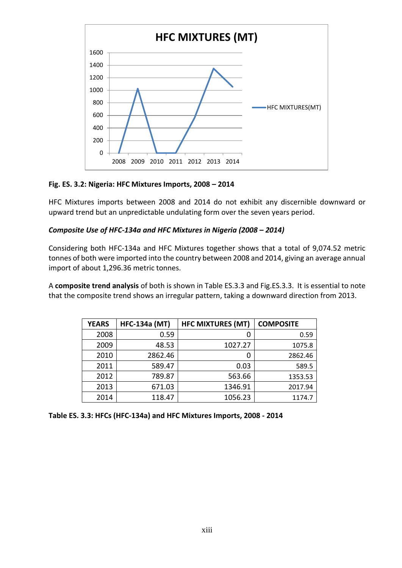

**Fig. ES. 3.2: Nigeria: HFC Mixtures Imports, 2008 – 2014**

HFC Mixtures imports between 2008 and 2014 do not exhibit any discernible downward or upward trend but an unpredictable undulating form over the seven years period.

## *Composite Use of HFC-134a and HFC Mixtures in Nigeria (2008 – 2014)*

Considering both HFC-134a and HFC Mixtures together shows that a total of 9,074.52 metric tonnes of both were imported into the country between 2008 and 2014, giving an average annual import of about 1,296.36 metric tonnes.

A **composite trend analysis** of both is shown in Table ES.3.3 and Fig.ES.3.3. It is essential to note that the composite trend shows an irregular pattern, taking a downward direction from 2013.

| <b>YEARS</b> | <b>HFC-134a (MT)</b> | <b>HFC MIXTURES (MT)</b> | <b>COMPOSITE</b> |
|--------------|----------------------|--------------------------|------------------|
| 2008         | 0.59                 |                          | 0.59             |
| 2009         | 48.53                | 1027.27                  | 1075.8           |
| 2010         | 2862.46              |                          | 2862.46          |
| 2011         | 589.47               | 0.03                     | 589.5            |
| 2012         | 789.87               | 563.66                   | 1353.53          |
| 2013         | 671.03               | 1346.91                  | 2017.94          |
| 2014         | 118.47               | 1056.23                  | 1174.7           |

**Table ES. 3.3: HFCs (HFC-134a) and HFC Mixtures Imports, 2008 - 2014**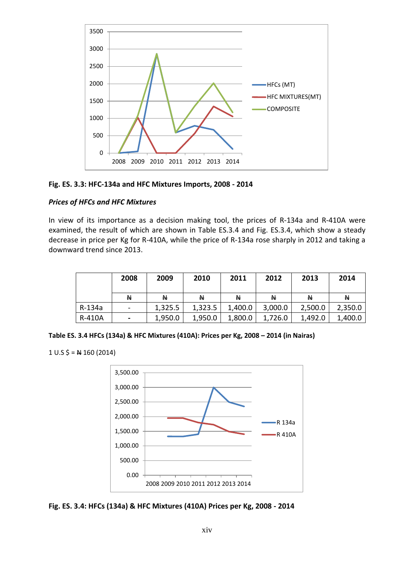

**Fig. ES. 3.3: HFC-134a and HFC Mixtures Imports, 2008 - 2014** 

#### *Prices of HFCs and HFC Mixtures*

In view of its importance as a decision making tool, the prices of R-134a and R-410A were examined, the result of which are shown in Table ES.3.4 and Fig. ES.3.4, which show a steady decrease in price per Kg for R-410A, while the price of R-134a rose sharply in 2012 and taking a downward trend since 2013.

|        | 2008                     | 2009    | 2010    | 2011    | 2012    | 2013    | 2014    |
|--------|--------------------------|---------|---------|---------|---------|---------|---------|
|        | N                        | N       | N       | N       | N       | N       | N       |
| R-134a | $\overline{\phantom{a}}$ | 1,325.5 | 1,323.5 | 1,400.0 | 3,000.0 | 2,500.0 | 2,350.0 |
| R-410A | $\blacksquare$           | 1,950.0 | 1,950.0 | 1,800.0 | 1,726.0 | 1,492.0 | 1,400.0 |

**Table ES. 3.4 HFCs (134a) & HFC Mixtures (410A): Prices per Kg, 2008 – 2014 (in Nairas)**

 $1 \cup .S$  \$ =  $\leftrightarrow$  160 (2014)



**Fig. ES. 3.4: HFCs (134a) & HFC Mixtures (410A) Prices per Kg, 2008 - 2014**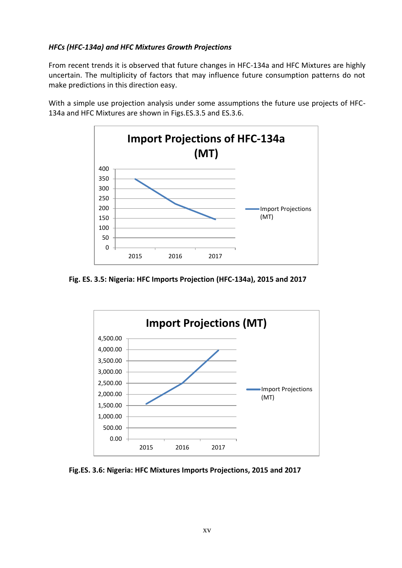## *HFCs (HFC-134a) and HFC Mixtures Growth Projections*

From recent trends it is observed that future changes in HFC-134a and HFC Mixtures are highly uncertain. The multiplicity of factors that may influence future consumption patterns do not make predictions in this direction easy.

With a simple use projection analysis under some assumptions the future use projects of HFC-134a and HFC Mixtures are shown in Figs.ES.3.5 and ES.3.6.



 **Fig. ES. 3.5: Nigeria: HFC Imports Projection (HFC-134a), 2015 and 2017**



 **Fig.ES. 3.6: Nigeria: HFC Mixtures Imports Projections, 2015 and 2017**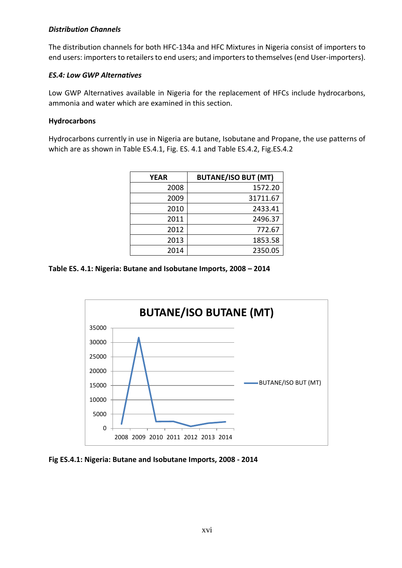#### *Distribution Channels*

The distribution channels for both HFC-134a and HFC Mixtures in Nigeria consist of importers to end users: importers to retailers to end users; and importers to themselves (end User-importers).

### *ES.4: Low GWP Alternatives*

Low GWP Alternatives available in Nigeria for the replacement of HFCs include hydrocarbons, ammonia and water which are examined in this section.

#### **Hydrocarbons**

Hydrocarbons currently in use in Nigeria are butane, Isobutane and Propane, the use patterns of which are as shown in Table ES.4.1, Fig. ES. 4.1 and Table ES.4.2, Fig.ES.4.2

| <b>YEAR</b> | <b>BUTANE/ISO BUT (MT)</b> |
|-------------|----------------------------|
| 2008        | 1572.20                    |
| 2009        | 31711.67                   |
| 2010        | 2433.41                    |
| 2011        | 2496.37                    |
| 2012        | 772.67                     |
| 2013        | 1853.58                    |
| 2014        | 2350.05                    |

**Table ES. 4.1: Nigeria: Butane and Isobutane Imports, 2008 – 2014**



**Fig ES.4.1: Nigeria: Butane and Isobutane Imports, 2008 - 2014**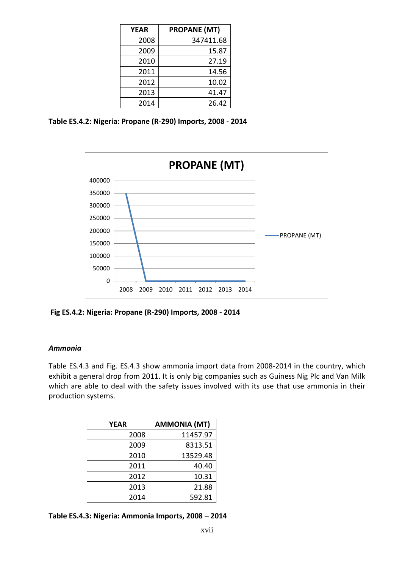| <b>YEAR</b> | <b>PROPANE (MT)</b> |
|-------------|---------------------|
| 2008        | 347411.68           |
| 2009        | 15.87               |
| 2010        | 27.19               |
| 2011        | 14.56               |
| 2012        | 10.02               |
| 2013        | 41.47               |
| 2014        | 26.42               |

**Table ES.4.2: Nigeria: Propane (R-290) Imports, 2008 - 2014**



**Fig ES.4.2: Nigeria: Propane (R-290) Imports, 2008 - 2014**

#### *Ammonia*

Table ES.4.3 and Fig. ES.4.3 show ammonia import data from 2008-2014 in the country, which exhibit a general drop from 2011. It is only big companies such as Guiness Nig Plc and Van Milk which are able to deal with the safety issues involved with its use that use ammonia in their production systems.

| <b>YEAR</b> | <b>AMMONIA (MT)</b> |
|-------------|---------------------|
| 2008        | 11457.97            |
| 2009        | 8313.51             |
| 2010        | 13529.48            |
| 2011        | 40.40               |
| 2012        | 10.31               |
| 2013        | 21.88               |
| 2014        | 592.81              |

**Table ES.4.3: Nigeria: Ammonia Imports, 2008 – 2014**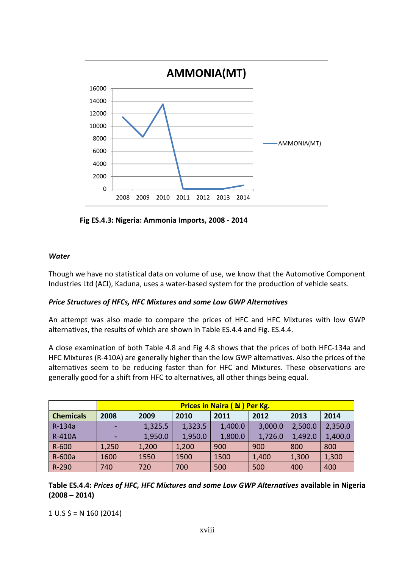

 **Fig ES.4.3: Nigeria: Ammonia Imports, 2008 - 2014**

#### *Water*

Though we have no statistical data on volume of use, we know that the Automotive Component Industries Ltd (ACI), Kaduna, uses a water-based system for the production of vehicle seats.

## *Price Structures of HFCs, HFC Mixtures and some Low GWP Alternatives*

An attempt was also made to compare the prices of HFC and HFC Mixtures with low GWP alternatives, the results of which are shown in Table ES.4.4 and Fig. ES.4.4.

A close examination of both Table 4.8 and Fig 4.8 shows that the prices of both HFC-134a and HFC Mixtures (R-410A) are generally higher than the low GWP alternatives. Also the prices of the alternatives seem to be reducing faster than for HFC and Mixtures. These observations are generally good for a shift from HFC to alternatives, all other things being equal.

|                  | <b>Prices in Naira (N) Per Kg.</b> |         |         |         |         |         |         |
|------------------|------------------------------------|---------|---------|---------|---------|---------|---------|
| <b>Chemicals</b> | 2008                               | 2009    | 2010    | 2011    | 2012    | 2013    | 2014    |
| R-134a           | ٠                                  | 1,325.5 | 1,323.5 | 1,400.0 | 3,000.0 | 2,500.0 | 2,350.0 |
| <b>R-410A</b>    | ٠                                  | 1,950.0 | 1,950.0 | 1,800.0 | 1,726.0 | 1,492.0 | 1,400.0 |
| $R - 600$        | 1,250                              | 1,200   | 1,200   | 900     | 900     | 800     | 800     |
| R-600a           | 1600                               | 1550    | 1500    | 1500    | 1,400   | 1,300   | 1,300   |
| R-290            | 740                                | 720     | 700     | 500     | 500     | 400     | 400     |

**Table ES.4.4:** *Prices of HFC, HFC Mixtures and some Low GWP Alternatives* **available in Nigeria (2008 – 2014)**

 $1 \text{ U.S } \frac{2}{3} = \text{N } 160 \text{ (2014)}$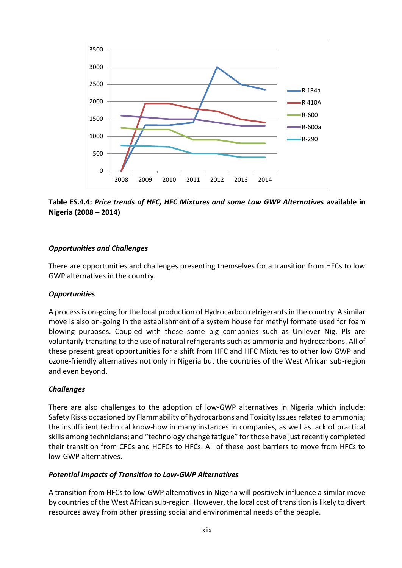

**Table ES.4.4:** *Price trends of HFC, HFC Mixtures and some Low GWP Alternatives* **available in Nigeria (2008 – 2014)**

## *Opportunities and Challenges*

There are opportunities and challenges presenting themselves for a transition from HFCs to low GWP alternatives in the country.

#### *Opportunities*

A process is on-going for the local production of Hydrocarbon refrigerants in the country. A similar move is also on-going in the establishment of a system house for methyl formate used for foam blowing purposes. Coupled with these some big companies such as Unilever Nig. Pls are voluntarily transiting to the use of natural refrigerants such as ammonia and hydrocarbons. All of these present great opportunities for a shift from HFC and HFC Mixtures to other low GWP and ozone-friendly alternatives not only in Nigeria but the countries of the West African sub-region and even beyond.

## *Challenges*

There are also challenges to the adoption of low-GWP alternatives in Nigeria which include: Safety Risks occasioned by Flammability of hydrocarbons and Toxicity Issues related to ammonia; the insufficient technical know-how in many instances in companies, as well as lack of practical skills among technicians; and "technology change fatigue" for those have just recently completed their transition from CFCs and HCFCs to HFCs. All of these post barriers to move from HFCs to low-GWP alternatives.

#### *Potential Impacts of Transition to Low-GWP Alternatives*

A transition from HFCs to low-GWP alternatives in Nigeria will positively influence a similar move by countries of the West African sub-region. However, the local cost of transition is likely to divert resources away from other pressing social and environmental needs of the people.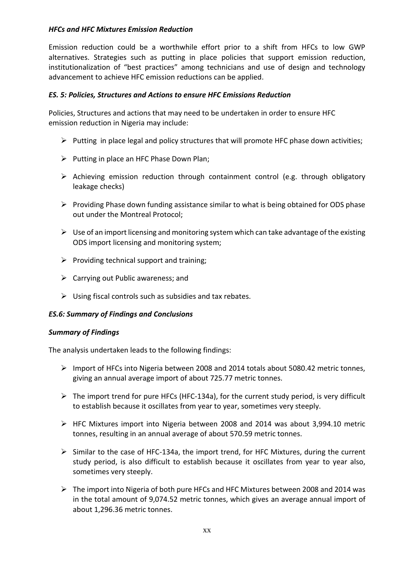## *HFCs and HFC Mixtures Emission Reduction*

Emission reduction could be a worthwhile effort prior to a shift from HFCs to low GWP alternatives. Strategies such as putting in place policies that support emission reduction, institutionalization of "best practices" among technicians and use of design and technology advancement to achieve HFC emission reductions can be applied.

#### *ES. 5: Policies, Structures and Actions to ensure HFC Emissions Reduction*

Policies, Structures and actions that may need to be undertaken in order to ensure HFC emission reduction in Nigeria may include:

- $\triangleright$  Putting in place legal and policy structures that will promote HFC phase down activities;
- $\triangleright$  Putting in place an HFC Phase Down Plan;
- $\triangleright$  Achieving emission reduction through containment control (e.g. through obligatory leakage checks)
- $\triangleright$  Providing Phase down funding assistance similar to what is being obtained for ODS phase out under the Montreal Protocol;
- $\triangleright$  Use of an import licensing and monitoring system which can take advantage of the existing ODS import licensing and monitoring system;
- $\triangleright$  Providing technical support and training;
- $\triangleright$  Carrying out Public awareness: and
- $\triangleright$  Using fiscal controls such as subsidies and tax rebates.

#### *ES.6: Summary of Findings and Conclusions*

#### *Summary of Findings*

The analysis undertaken leads to the following findings:

- Import of HFCs into Nigeria between 2008 and 2014 totals about 5080.42 metric tonnes, giving an annual average import of about 725.77 metric tonnes.
- $\triangleright$  The import trend for pure HFCs (HFC-134a), for the current study period, is very difficult to establish because it oscillates from year to year, sometimes very steeply.
- $\triangleright$  HFC Mixtures import into Nigeria between 2008 and 2014 was about 3,994.10 metric tonnes, resulting in an annual average of about 570.59 metric tonnes.
- $\triangleright$  Similar to the case of HFC-134a, the import trend, for HFC Mixtures, during the current study period, is also difficult to establish because it oscillates from year to year also, sometimes very steeply.
- $\triangleright$  The import into Nigeria of both pure HFCs and HFC Mixtures between 2008 and 2014 was in the total amount of 9,074.52 metric tonnes, which gives an average annual import of about 1,296.36 metric tonnes.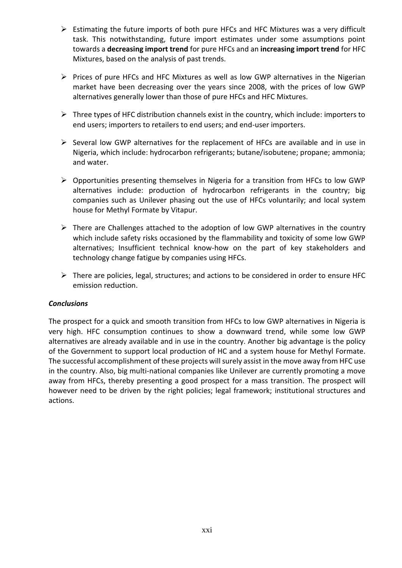- $\triangleright$  Estimating the future imports of both pure HFCs and HFC Mixtures was a very difficult task. This notwithstanding, future import estimates under some assumptions point towards a **decreasing import trend** for pure HFCs and an **increasing import trend** for HFC Mixtures, based on the analysis of past trends.
- $\triangleright$  Prices of pure HFCs and HFC Mixtures as well as low GWP alternatives in the Nigerian market have been decreasing over the years since 2008, with the prices of low GWP alternatives generally lower than those of pure HFCs and HFC Mixtures.
- $\triangleright$  Three types of HFC distribution channels exist in the country, which include: importers to end users; importers to retailers to end users; and end-user importers.
- $\triangleright$  Several low GWP alternatives for the replacement of HFCs are available and in use in Nigeria, which include: hydrocarbon refrigerants; butane/isobutene; propane; ammonia; and water.
- $\triangleright$  Opportunities presenting themselves in Nigeria for a transition from HFCs to low GWP alternatives include: production of hydrocarbon refrigerants in the country; big companies such as Unilever phasing out the use of HFCs voluntarily; and local system house for Methyl Formate by Vitapur.
- $\triangleright$  There are Challenges attached to the adoption of low GWP alternatives in the country which include safety risks occasioned by the flammability and toxicity of some low GWP alternatives; Insufficient technical know-how on the part of key stakeholders and technology change fatigue by companies using HFCs.
- $\triangleright$  There are policies, legal, structures; and actions to be considered in order to ensure HFC emission reduction.

#### *Conclusions*

The prospect for a quick and smooth transition from HFCs to low GWP alternatives in Nigeria is very high. HFC consumption continues to show a downward trend, while some low GWP alternatives are already available and in use in the country. Another big advantage is the policy of the Government to support local production of HC and a system house for Methyl Formate. The successful accomplishment of these projects will surely assist in the move away from HFC use in the country. Also, big multi-national companies like Unilever are currently promoting a move away from HFCs, thereby presenting a good prospect for a mass transition. The prospect will however need to be driven by the right policies; legal framework; institutional structures and actions.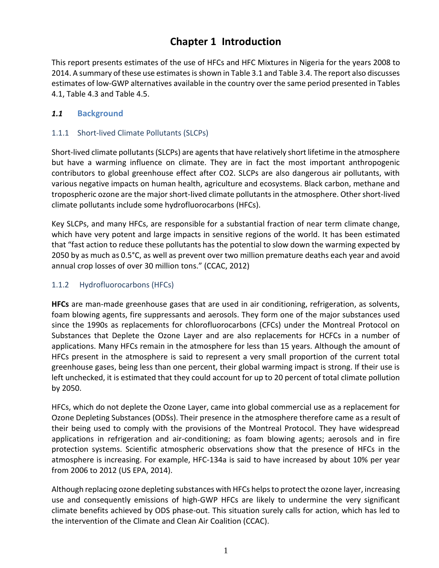# **Chapter 1 Introduction**

<span id="page-21-0"></span>This report presents estimates of the use of HFCs and HFC Mixtures in Nigeria for the years 2008 to 2014. A summary of these use estimates is shown in Table 3.1 and Table 3.4. The report also discusses estimates of low-GWP alternatives available in the country over the same period presented in Tables 4.1, Table 4.3 and Table 4.5.

## *1.1* **Background**

## 1.1.1 Short-lived Climate Pollutants (SLCPs)

<span id="page-21-1"></span>Short-lived climate pollutants (SLCPs) are agents that have relatively short lifetime in the atmosphere but have a warming influence on climate. They are in fact the most important anthropogenic contributors to global greenhouse effect after CO2. SLCPs are also dangerous air pollutants, with various negative impacts on human health, agriculture and ecosystems. Black carbon, methane and tropospheric ozone are the major short-lived climate pollutants in the atmosphere. Other short-lived climate pollutants include some hydrofluorocarbons (HFCs).

Key SLCPs, and many HFCs, are responsible for a substantial fraction of near term climate change, which have very potent and large impacts in sensitive regions of the world. It has been estimated that "fast action to reduce these pollutants has the potential to slow down the warming expected by 2050 by as much as 0.5°C, as well as prevent over two million premature deaths each year and avoid annual crop losses of over 30 million tons." (CCAC, 2012)

## 1.1.2 Hydrofluorocarbons (HFCs)

<span id="page-21-2"></span>**HFCs** are man-made greenhouse gases that are used in air conditioning, refrigeration, as solvents, foam blowing agents, fire suppressants and aerosols. They form one of the major substances used since the 1990s as replacements for chlorofluorocarbons (CFCs) under the Montreal Protocol on Substances that Deplete the Ozone Layer and are also replacements for HCFCs in a number of applications. Many HFCs remain in the atmosphere for less than 15 years. Although the amount of HFCs present in the atmosphere is said to represent a very small proportion of the current total greenhouse gases, being less than one percent, their global warming impact is strong. If their use is left unchecked, it is estimated that they could account for up to 20 percent of total climate pollution by 2050.

HFCs, which do not deplete the Ozone Layer, came into global commercial use as a replacement for Ozone Depleting Substances (ODSs). Their presence in the atmosphere therefore came as a result of their being used to comply with the provisions of the Montreal Protocol. They have widespread applications in refrigeration and air-conditioning; as foam blowing agents; aerosols and in fire protection systems. Scientific atmospheric observations show that the presence of HFCs in the atmosphere is increasing. For example, HFC-134a is said to have increased by about 10% per year from 2006 to 2012 (US EPA, 2014).

Although replacing ozone depleting substances with HFCs helps to protect the ozone layer, increasing use and consequently emissions of high-GWP HFCs are likely to undermine the very significant climate benefits achieved by ODS phase-out. This situation surely calls for action, which has led to the intervention of the Climate and Clean Air Coalition (CCAC).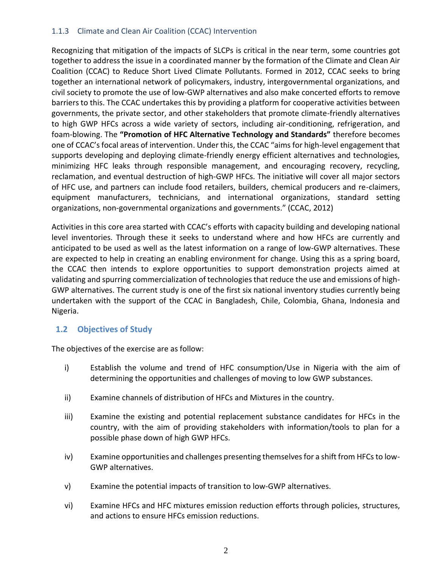## 1.1.3 Climate and Clean Air Coalition (CCAC) Intervention

<span id="page-22-0"></span>Recognizing that mitigation of the impacts of SLCPs is critical in the near term, some countries got together to address the issue in a coordinated manner by the formation of the Climate and Clean Air Coalition (CCAC) to Reduce Short Lived Climate Pollutants. Formed in 2012, CCAC seeks to bring together an international network of policymakers, industry, intergovernmental organizations, and civil society to promote the use of low-GWP alternatives and also make concerted efforts to remove barriers to this. The CCAC undertakes this by providing a platform for cooperative activities between governments, the private sector, and other stakeholders that promote climate-friendly alternatives to high GWP HFCs across a wide variety of sectors, including air-conditioning, refrigeration, and foam-blowing. The **"Promotion of HFC Alternative Technology and Standards"** therefore becomes one of CCAC's focal areas of intervention. Under this, the CCAC "aims for high-level engagement that supports developing and deploying climate-friendly energy efficient alternatives and technologies, minimizing HFC leaks through responsible management, and encouraging recovery, recycling, reclamation, and eventual destruction of high-GWP HFCs. The initiative will cover all major sectors of HFC use, and partners can include food retailers, builders, chemical producers and re-claimers, equipment manufacturers, technicians, and international organizations, standard setting organizations, non-governmental organizations and governments." (CCAC, 2012)

Activities in this core area started with CCAC's efforts with capacity building and developing national level inventories. Through these it seeks to understand where and how HFCs are currently and anticipated to be used as well as the latest information on a range of low-GWP alternatives. These are expected to help in creating an enabling environment for change. Using this as a spring board, the CCAC then intends to explore opportunities to support demonstration projects aimed at validating and spurring commercialization of technologies that reduce the use and emissions of high-GWP alternatives. The current study is one of the first six national inventory studies currently being undertaken with the support of the CCAC in Bangladesh, Chile, Colombia, Ghana, Indonesia and Nigeria.

## **1.2 Objectives of Study**

<span id="page-22-1"></span>The objectives of the exercise are as follow:

- i) Establish the volume and trend of HFC consumption/Use in Nigeria with the aim of determining the opportunities and challenges of moving to low GWP substances.
- ii) Examine channels of distribution of HFCs and Mixtures in the country.
- iii) Examine the existing and potential replacement substance candidates for HFCs in the country, with the aim of providing stakeholders with information/tools to plan for a possible phase down of high GWP HFCs.
- iv) Examine opportunities and challenges presenting themselves for a shift from HFCs to low-GWP alternatives.
- v) Examine the potential impacts of transition to low-GWP alternatives.
- vi) Examine HFCs and HFC mixtures emission reduction efforts through policies, structures, and actions to ensure HFCs emission reductions.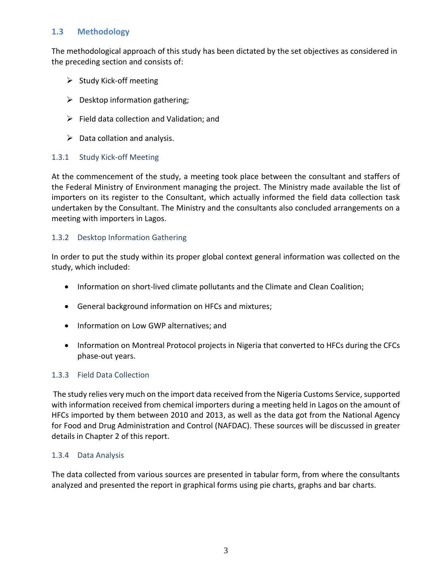## **1.3 Methodology**

<span id="page-23-0"></span>The methodological approach of this study has been dictated by the set objectives as considered in the preceding section and consists of:

- $\triangleright$  Study Kick-off meeting
- $\triangleright$  Desktop information gathering;
- $\triangleright$  Field data collection and Validation; and
- $\triangleright$  Data collation and analysis.

## 1.3.1 Study Kick-off Meeting

<span id="page-23-1"></span>At the commencement of the study, a meeting took place between the consultant and staffers of the Federal Ministry of Environment managing the project. The Ministry made available the list of importers on its register to the Consultant, which actually informed the field data collection task undertaken by the Consultant. The Ministry and the consultants also concluded arrangements on a meeting with importers in Lagos.

#### 1.3.2 Desktop Information Gathering

<span id="page-23-2"></span>In order to put the study within its proper global context general information was collected on the study, which included:

- Information on short-lived climate pollutants and the Climate and Clean Coalition;
- General background information on HFCs and mixtures;
- Information on Low GWP alternatives; and
- Information on Montreal Protocol projects in Nigeria that converted to HFCs during the CFCs phase-out years.

## 1.3.3 Field Data Collection

<span id="page-23-3"></span>The study relies very much on the import data received from the Nigeria Customs Service, supported with information received from chemical importers during a meeting held in Lagos on the amount of HFCs imported by them between 2010 and 2013, as well as the data got from the National Agency for Food and Drug Administration and Control (NAFDAC). These sources will be discussed in greater details in Chapter 2 of this report.

## 1.3.4 Data Analysis

<span id="page-23-4"></span>The data collected from various sources are presented in tabular form, from where the consultants analyzed and presented the report in graphical forms using pie charts, graphs and bar charts.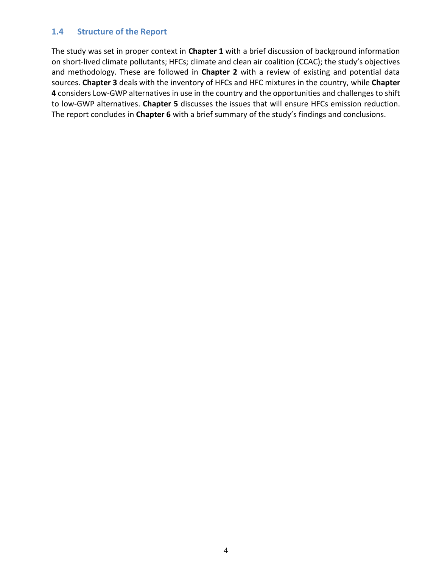#### **1.4 Structure of the Report**

<span id="page-24-0"></span>The study was set in proper context in **Chapter 1** with a brief discussion of background information on short-lived climate pollutants; HFCs; climate and clean air coalition (CCAC); the study's objectives and methodology. These are followed in **Chapter 2** with a review of existing and potential data sources. **Chapter 3** deals with the inventory of HFCs and HFC mixtures in the country, while **Chapter 4** considers Low-GWP alternatives in use in the country and the opportunities and challenges to shift to low-GWP alternatives. **Chapter 5** discusses the issues that will ensure HFCs emission reduction. The report concludes in **Chapter 6** with a brief summary of the study's findings and conclusions.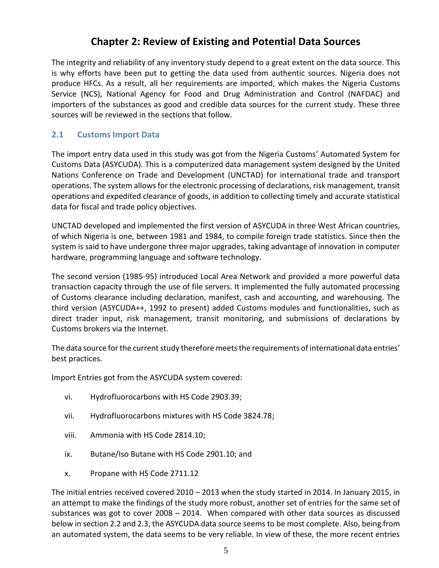# **Chapter 2: Review of Existing and Potential Data Sources**

<span id="page-25-0"></span>The integrity and reliability of any inventory study depend to a great extent on the data source. This is why efforts have been put to getting the data used from authentic sources. Nigeria does not produce HFCs. As a result, all her requirements are imported, which makes the Nigeria Customs Service (NCS), National Agency for Food and Drug Administration and Control (NAFDAC) and importers of the substances as good and credible data sources for the current study. These three sources will be reviewed in the sections that follow.

## **2.1 Customs Import Data**

<span id="page-25-1"></span>The import entry data used in this study was got from the Nigeria Customs' Automated System for Customs Data (ASYCUDA). This is a computerized data management system designed by the United Nations Conference on Trade and Development (UNCTAD) for international trade and transport operations. The system allows for the electronic processing of declarations, risk management, transit operations and expedited clearance of goods, in addition to collecting timely and accurate statistical data for fiscal and trade policy objectives.

UNCTAD developed and implemented the first version of ASYCUDA in three West African countries, of which Nigeria is one, between 1981 and 1984, to compile foreign trade statistics. Since then the system is said to have undergone three major upgrades, taking advantage of innovation in computer hardware, programming language and software technology.

The second version (1985-95) introduced Local Area Network and provided a more powerful data transaction capacity through the use of file servers. It implemented the fully automated processing of Customs clearance including declaration, manifest, cash and accounting, and warehousing. The third version (ASYCUDA++, 1992 to present) added Customs modules and functionalities, such as direct trader input, risk management, transit monitoring, and submissions of declarations by Customs brokers via the Internet.

The data source for the current study therefore meets the requirements of international data entries' best practices.

Import Entries got from the ASYCUDA system covered:

- vi. Hydrofluorocarbons with HS Code 2903.39;
- vii. Hydrofluorocarbons mixtures with HS Code 3824.78;
- viii. Ammonia with HS Code 2814.10;
- ix. Butane/Iso Butane with HS Code 2901.10; and
- x. Propane with HS Code 2711.12

The initial entries received covered 2010 – 2013 when the study started in 2014. In January 2015, in an attempt to make the findings of the study more robust, another set of entries for the same set of substances was got to cover 2008 – 2014. When compared with other data sources as discussed below in section 2.2 and 2.3, the ASYCUDA data source seems to be most complete. Also, being from an automated system, the data seems to be very reliable. In view of these, the more recent entries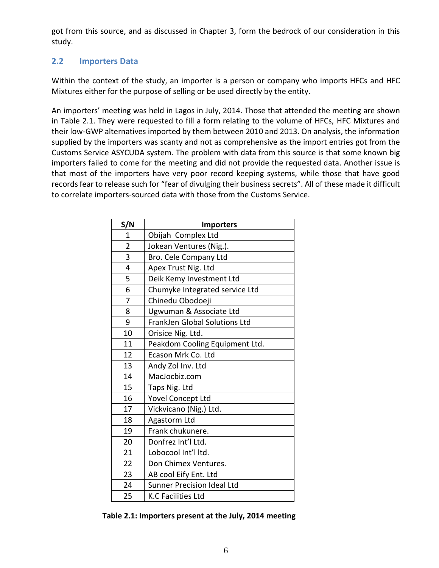got from this source, and as discussed in Chapter 3, form the bedrock of our consideration in this study.

# **2.2 Importers Data**

<span id="page-26-0"></span>Within the context of the study, an importer is a person or company who imports HFCs and HFC Mixtures either for the purpose of selling or be used directly by the entity.

An importers' meeting was held in Lagos in July, 2014. Those that attended the meeting are shown in Table 2.1. They were requested to fill a form relating to the volume of HFCs, HFC Mixtures and their low-GWP alternatives imported by them between 2010 and 2013. On analysis, the information supplied by the importers was scanty and not as comprehensive as the import entries got from the Customs Service ASYCUDA system. The problem with data from this source is that some known big importers failed to come for the meeting and did not provide the requested data. Another issue is that most of the importers have very poor record keeping systems, while those that have good records fear to release such for "fear of divulging their business secrets". All of these made it difficult to correlate importers-sourced data with those from the Customs Service.

| S/N                     | <b>Importers</b>                     |
|-------------------------|--------------------------------------|
| $\mathbf{1}$            | Obijah Complex Ltd                   |
| $\overline{2}$          | Jokean Ventures (Nig.).              |
| 3                       | Bro. Cele Company Ltd                |
| $\overline{\mathbf{4}}$ | Apex Trust Nig. Ltd                  |
| 5                       | Deik Kemy Investment Ltd             |
| 6                       | Chumyke Integrated service Ltd       |
| 7                       | Chinedu Obodoeji                     |
| 8                       | Ugwuman & Associate Ltd              |
| 9                       | <b>FrankJen Global Solutions Ltd</b> |
| 10                      | Orisice Nig. Ltd.                    |
| 11                      | Peakdom Cooling Equipment Ltd.       |
| 12                      | Ecason Mrk Co. Ltd                   |
| 13                      | Andy Zol Inv. Ltd                    |
| 14                      | MacJocbiz.com                        |
| 15                      | Taps Nig. Ltd                        |
| 16                      | Yovel Concept Ltd                    |
| 17                      | Vickvicano (Nig.) Ltd.               |
| 18                      | Agastorm Ltd                         |
| 19                      | Frank chukunere.                     |
| 20                      | Donfrez Int'l Ltd.                   |
| 21                      | Lobocool Int'l Itd.                  |
| 22                      | Don Chimex Ventures.                 |
| 23                      | AB cool Eify Ent. Ltd                |
| 24                      | <b>Sunner Precision Ideal Ltd</b>    |
| 25                      | <b>K.C Facilities Ltd</b>            |

**Table 2.1: Importers present at the July, 2014 meeting**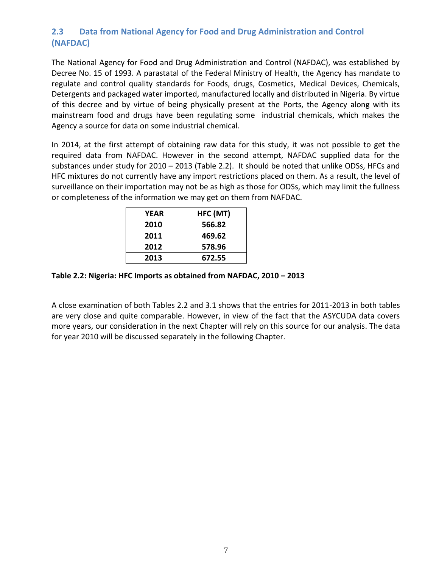# **2.3 Data from National Agency for Food and Drug Administration and Control (NAFDAC)**

<span id="page-27-0"></span>The National Agency for Food and Drug Administration and Control (NAFDAC), was established by Decree No. 15 of 1993. A parastatal of the Federal Ministry of Health, the Agency has mandate to regulate and control quality standards for Foods, drugs, Cosmetics, Medical Devices, Chemicals, Detergents and packaged water imported, manufactured locally and distributed in Nigeria. By virtue of this decree and by virtue of being physically present at the Ports, the Agency along with its mainstream food and drugs have been regulating some industrial chemicals, which makes the Agency a source for data on some industrial chemical.

In 2014, at the first attempt of obtaining raw data for this study, it was not possible to get the required data from NAFDAC. However in the second attempt, NAFDAC supplied data for the substances under study for 2010 – 2013 (Table 2.2). It should be noted that unlike ODSs, HFCs and HFC mixtures do not currently have any import restrictions placed on them. As a result, the level of surveillance on their importation may not be as high as those for ODSs, which may limit the fullness or completeness of the information we may get on them from NAFDAC.

| YEAR | HFC (MT) |
|------|----------|
| 2010 | 566.82   |
| 2011 | 469.62   |
| 2012 | 578.96   |
| 2013 | 672.55   |
|      |          |

## **Table 2.2: Nigeria: HFC Imports as obtained from NAFDAC, 2010 – 2013**

A close examination of both Tables 2.2 and 3.1 shows that the entries for 2011-2013 in both tables are very close and quite comparable. However, in view of the fact that the ASYCUDA data covers more years, our consideration in the next Chapter will rely on this source for our analysis. The data for year 2010 will be discussed separately in the following Chapter.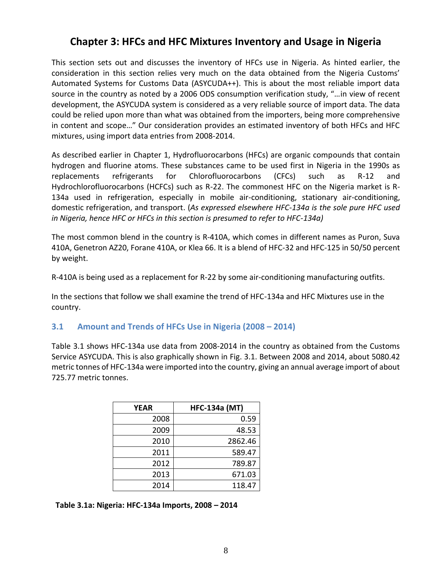# **Chapter 3: HFCs and HFC Mixtures Inventory and Usage in Nigeria**

<span id="page-28-0"></span>This section sets out and discusses the inventory of HFCs use in Nigeria. As hinted earlier, the consideration in this section relies very much on the data obtained from the Nigeria Customs' Automated Systems for Customs Data (ASYCUDA++). This is about the most reliable import data source in the country as noted by a 2006 ODS consumption verification study, "…in view of recent development, the ASYCUDA system is considered as a very reliable source of import data. The data could be relied upon more than what was obtained from the importers, being more comprehensive in content and scope…" Our consideration provides an estimated inventory of both HFCs and HFC mixtures, using import data entries from 2008-2014.

As described earlier in Chapter 1, Hydrofluorocarbons (HFCs) are organic compounds that contain hydrogen and fluorine atoms. These substances came to be used first in Nigeria in the 1990s as replacements refrigerants for Chlorofluorocarbons (CFCs) such as R-12 and Hydrochlorofluorocarbons (HCFCs) such as R-22. The commonest HFC on the Nigeria market is R-134a used in refrigeration, especially in mobile air-conditioning, stationary air-conditioning, domestic refrigeration, and transport. (*As expressed elsewhere HFC-134a is the sole pure HFC used in Nigeria, hence HFC or HFCs in this section is presumed to refer to HFC-134a)*

The most common blend in the country is R-410A, which comes in different names as Puron, Suva 410A, Genetron AZ20, Forane 410A, or Klea 66. It is a blend of HFC-32 and HFC-125 in 50/50 percent by weight.

R-410A is being used as a replacement for R-22 by some air-conditioning manufacturing outfits.

In the sections that follow we shall examine the trend of HFC-134a and HFC Mixtures use in the country.

## **3.1 Amount and Trends of HFCs Use in Nigeria (2008 – 2014)**

<span id="page-28-1"></span>Table 3.1 shows HFC-134a use data from 2008-2014 in the country as obtained from the Customs Service ASYCUDA. This is also graphically shown in Fig. 3.1. Between 2008 and 2014, about 5080.42 metric tonnes of HFC-134a were imported into the country, giving an annual average import of about 725.77 metric tonnes.

| <b>YEAR</b> | <b>HFC-134a (MT)</b> |
|-------------|----------------------|
| 2008        | 0.59                 |
| 2009        | 48.53                |
| 2010        | 2862.46              |
| 2011        | 589.47               |
| 2012        | 789.87               |
| 2013        | 671.03               |
| 2014        | 118.47               |

**Table 3.1a: Nigeria: HFC-134a Imports, 2008 – 2014**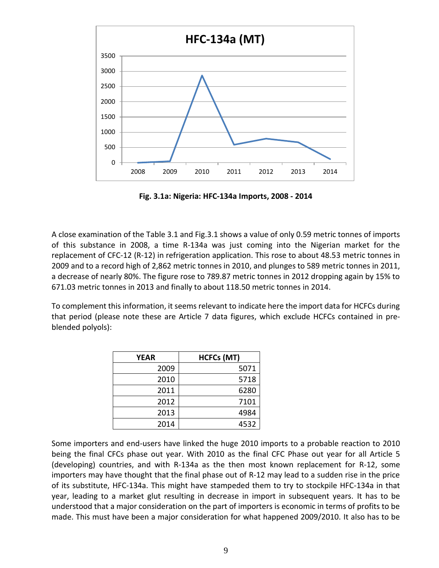

**Fig. 3.1a: Nigeria: HFC-134a Imports, 2008 - 2014**

A close examination of the Table 3.1 and Fig.3.1 shows a value of only 0.59 metric tonnes of imports of this substance in 2008, a time R-134a was just coming into the Nigerian market for the replacement of CFC-12 (R-12) in refrigeration application. This rose to about 48.53 metric tonnes in 2009 and to a record high of 2,862 metric tonnes in 2010, and plunges to 589 metric tonnes in 2011, a decrease of nearly 80%. The figure rose to 789.87 metric tonnes in 2012 dropping again by 15% to 671.03 metric tonnes in 2013 and finally to about 118.50 metric tonnes in 2014.

To complement this information, it seems relevant to indicate here the import data for HCFCs during that period (please note these are Article 7 data figures, which exclude HCFCs contained in preblended polyols):

| YEAR | <b>HCFCs (MT)</b> |
|------|-------------------|
| 2009 | 5071              |
| 2010 | 5718              |
| 2011 | 6280              |
| 2012 | 7101              |
| 2013 | 4984              |
| 2014 | 4532              |

Some importers and end-users have linked the huge 2010 imports to a probable reaction to 2010 being the final CFCs phase out year. With 2010 as the final CFC Phase out year for all Article 5 (developing) countries, and with R-134a as the then most known replacement for R-12, some importers may have thought that the final phase out of R-12 may lead to a sudden rise in the price of its substitute, HFC-134a. This might have stampeded them to try to stockpile HFC-134a in that year, leading to a market glut resulting in decrease in import in subsequent years. It has to be understood that a major consideration on the part of importers is economic in terms of profits to be made. This must have been a major consideration for what happened 2009/2010. It also has to be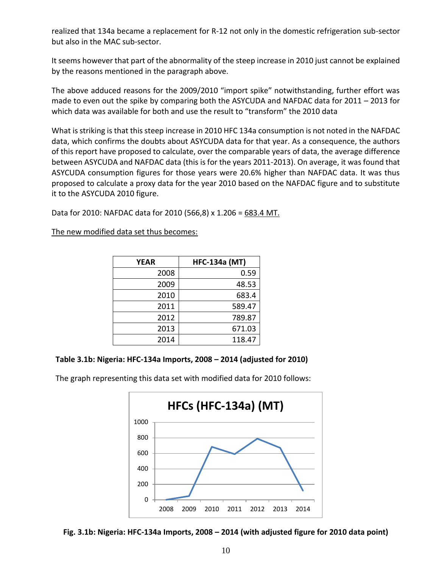realized that 134a became a replacement for R-12 not only in the domestic refrigeration sub-sector but also in the MAC sub-sector.

It seems however that part of the abnormality of the steep increase in 2010 just cannot be explained by the reasons mentioned in the paragraph above.

The above adduced reasons for the 2009/2010 "import spike" notwithstanding, further effort was made to even out the spike by comparing both the ASYCUDA and NAFDAC data for 2011 – 2013 for which data was available for both and use the result to "transform" the 2010 data

What is striking is that this steep increase in 2010 HFC 134a consumption is not noted in the NAFDAC data, which confirms the doubts about ASYCUDA data for that year. As a consequence, the authors of this report have proposed to calculate, over the comparable years of data, the average difference between ASYCUDA and NAFDAC data (this is for the years 2011-2013). On average, it was found that ASYCUDA consumption figures for those years were 20.6% higher than NAFDAC data. It was thus proposed to calculate a proxy data for the year 2010 based on the NAFDAC figure and to substitute it to the ASYCUDA 2010 figure.

Data for 2010: NAFDAC data for 2010 (566,8) x 1.206 = 683.4 MT.

The new modified data set thus becomes:

| <b>YEAR</b> | <b>HFC-134a (MT)</b> |
|-------------|----------------------|
| 2008        | 0.59                 |
| 2009        | 48.53                |
| 2010        | 683.4                |
| 2011        | 589.47               |
| 2012        | 789.87               |
| 2013        | 671.03               |
| 2014        | 118.47               |



The graph representing this data set with modified data for 2010 follows:



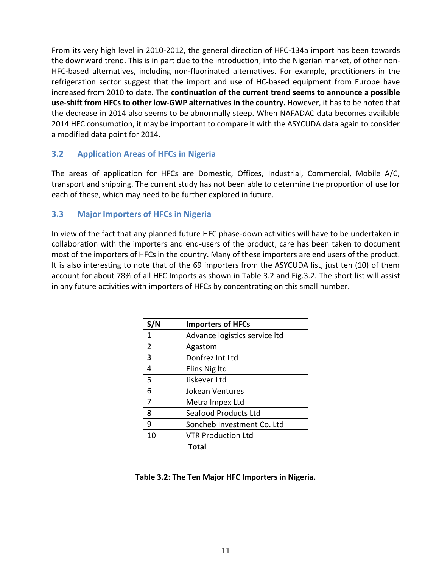From its very high level in 2010-2012, the general direction of HFC-134a import has been towards the downward trend. This is in part due to the introduction, into the Nigerian market, of other non-HFC-based alternatives, including non-fluorinated alternatives. For example, practitioners in the refrigeration sector suggest that the import and use of HC-based equipment from Europe have increased from 2010 to date. The **continuation of the current trend seems to announce a possible use-shift from HFCs to other low-GWP alternatives in the country.** However, it has to be noted that the decrease in 2014 also seems to be abnormally steep. When NAFADAC data becomes available 2014 HFC consumption, it may be important to compare it with the ASYCUDA data again to consider a modified data point for 2014.

## **3.2 Application Areas of HFCs in Nigeria**

<span id="page-31-0"></span>The areas of application for HFCs are Domestic, Offices, Industrial, Commercial, Mobile A/C, transport and shipping. The current study has not been able to determine the proportion of use for each of these, which may need to be further explored in future.

## **3.3 Major Importers of HFCs in Nigeria**

<span id="page-31-1"></span>In view of the fact that any planned future HFC phase-down activities will have to be undertaken in collaboration with the importers and end-users of the product, care has been taken to document most of the importers of HFCs in the country. Many of these importers are end users of the product. It is also interesting to note that of the 69 importers from the ASYCUDA list, just ten (10) of them account for about 78% of all HFC Imports as shown in Table 3.2 and Fig.3.2. The short list will assist in any future activities with importers of HFCs by concentrating on this small number.

| S/N | <b>Importers of HFCs</b>      |
|-----|-------------------------------|
| 1   | Advance logistics service ltd |
| 2   | Agastom                       |
| 3   | Donfrez Int Ltd               |
| 4   | Elins Nig Itd                 |
| 5   | Jiskever Ltd                  |
| 6   | Jokean Ventures               |
| 7   | Metra Impex Ltd               |
| 8   | <b>Seafood Products Ltd</b>   |
| 9   | Soncheb Investment Co. Ltd    |
| 10  | <b>VTR Production Ltd</b>     |
|     | Total                         |

#### **Table 3.2: The Ten Major HFC Importers in Nigeria.**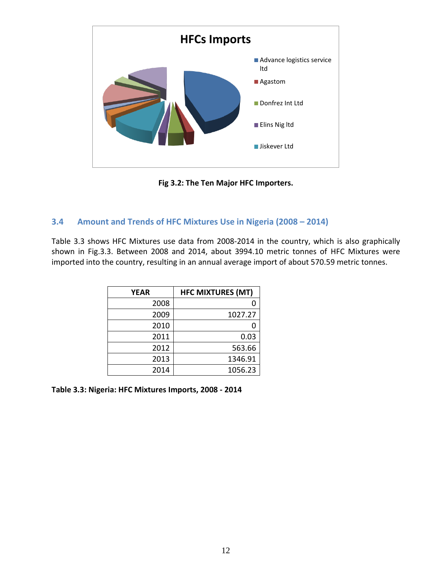

**Fig 3.2: The Ten Major HFC Importers.**

## **3.4 Amount and Trends of HFC Mixtures Use in Nigeria (2008 – 2014)**

<span id="page-32-0"></span>Table 3.3 shows HFC Mixtures use data from 2008-2014 in the country, which is also graphically shown in Fig.3.3. Between 2008 and 2014, about 3994.10 metric tonnes of HFC Mixtures were imported into the country, resulting in an annual average import of about 570.59 metric tonnes.

| <b>YEAR</b> | <b>HFC MIXTURES (MT)</b> |
|-------------|--------------------------|
| 2008        |                          |
| 2009        | 1027.27                  |
| 2010        |                          |
| 2011        | 0.03                     |
| 2012        | 563.66                   |
| 2013        | 1346.91                  |
| 2014        | 1056.23                  |

**Table 3.3: Nigeria: HFC Mixtures Imports, 2008 - 2014**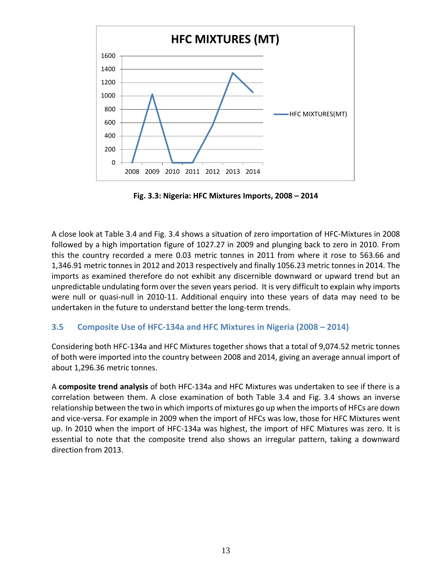

**Fig. 3.3: Nigeria: HFC Mixtures Imports, 2008 – 2014**

A close look at Table 3.4 and Fig. 3.4 shows a situation of zero importation of HFC-Mixtures in 2008 followed by a high importation figure of 1027.27 in 2009 and plunging back to zero in 2010. From this the country recorded a mere 0.03 metric tonnes in 2011 from where it rose to 563.66 and 1,346.91 metric tonnes in 2012 and 2013 respectively and finally 1056.23 metric tonnes in 2014. The imports as examined therefore do not exhibit any discernible downward or upward trend but an unpredictable undulating form over the seven years period. It is very difficult to explain why imports were null or quasi-null in 2010-11. Additional enquiry into these years of data may need to be undertaken in the future to understand better the long-term trends.

## **3.5 Composite Use of HFC-134a and HFC Mixtures in Nigeria (2008 – 2014)**

<span id="page-33-0"></span>Considering both HFC-134a and HFC Mixtures together shows that a total of 9,074.52 metric tonnes of both were imported into the country between 2008 and 2014, giving an average annual import of about 1,296.36 metric tonnes.

A **composite trend analysis** of both HFC-134a and HFC Mixtures was undertaken to see if there is a correlation between them. A close examination of both Table 3.4 and Fig. 3.4 shows an inverse relationship between the two in which imports of mixtures go up when the imports of HFCs are down and vice-versa. For example in 2009 when the import of HFCs was low, those for HFC Mixtures went up. In 2010 when the import of HFC-134a was highest, the import of HFC Mixtures was zero. It is essential to note that the composite trend also shows an irregular pattern, taking a downward direction from 2013.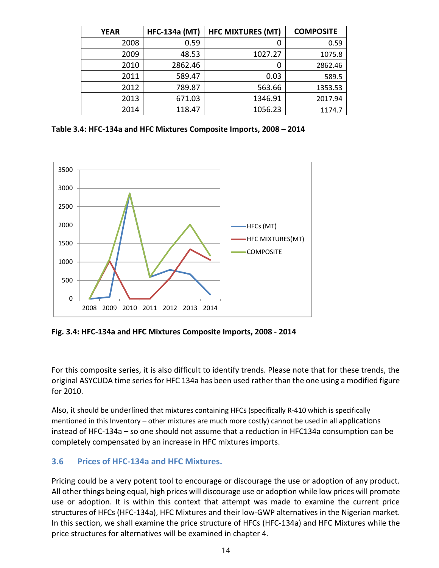| <b>YEAR</b> | <b>HFC-134a (MT)</b> | <b>HFC MIXTURES (MT)</b> | <b>COMPOSITE</b> |
|-------------|----------------------|--------------------------|------------------|
| 2008        | 0.59                 | 0                        | 0.59             |
| 2009        | 48.53                | 1027.27                  | 1075.8           |
| 2010        | 2862.46              | 0                        | 2862.46          |
| 2011        | 589.47               | 0.03                     | 589.5            |
| 2012        | 789.87               | 563.66                   | 1353.53          |
| 2013        | 671.03               | 1346.91                  | 2017.94          |
| 2014        | 118.47               | 1056.23                  | 1174.7           |

**Table 3.4: HFC-134a and HFC Mixtures Composite Imports, 2008 – 2014**



**Fig. 3.4: HFC-134a and HFC Mixtures Composite Imports, 2008 - 2014** 

For this composite series, it is also difficult to identify trends. Please note that for these trends, the original ASYCUDA time series for HFC 134a has been used rather than the one using a modified figure for 2010.

Also, it should be underlined that mixtures containing HFCs (specifically R-410 which is specifically mentioned in this Inventory – other mixtures are much more costly) cannot be used in all applications instead of HFC-134a – so one should not assume that a reduction in HFC134a consumption can be completely compensated by an increase in HFC mixtures imports.

## **3.6 Prices of HFC-134a and HFC Mixtures.**

<span id="page-34-0"></span>Pricing could be a very potent tool to encourage or discourage the use or adoption of any product. All other things being equal, high prices will discourage use or adoption while low prices will promote use or adoption. It is within this context that attempt was made to examine the current price structures of HFCs (HFC-134a), HFC Mixtures and their low-GWP alternatives in the Nigerian market. In this section, we shall examine the price structure of HFCs (HFC-134a) and HFC Mixtures while the price structures for alternatives will be examined in chapter 4.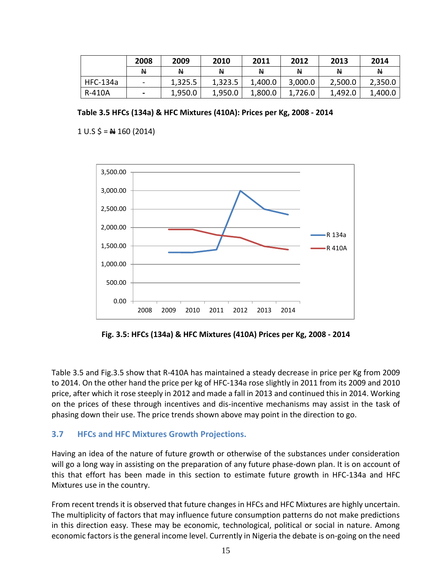|                 | 2008         | 2009    | 2010     | 2011    | 2012    | 2013    | 2014    |
|-----------------|--------------|---------|----------|---------|---------|---------|---------|
|                 | <sup>N</sup> | N       | <b>N</b> | Ν       | Ν       | Ν       | N       |
| <b>HFC-134a</b> |              | 1,325.5 | 1,323.5  | 1,400.0 | 3,000.0 | 2,500.0 | 2,350.0 |
| R-410A          |              | 1,950.0 | 1,950.0  | 1,800.0 | 1,726.0 | 1,492.0 | 1,400.0 |

**Table 3.5 HFCs (134a) & HFC Mixtures (410A): Prices per Kg, 2008 - 2014**

 $1 \text{ U.S } \text{ } 5 = \text{ } \text{ } \text{ } \text{ } 4 \text{ } 160 \text{ } (2014)$ 



**Fig. 3.5: HFCs (134a) & HFC Mixtures (410A) Prices per Kg, 2008 - 2014**

Table 3.5 and Fig.3.5 show that R-410A has maintained a steady decrease in price per Kg from 2009 to 2014. On the other hand the price per kg of HFC-134a rose slightly in 2011 from its 2009 and 2010 price, after which it rose steeply in 2012 and made a fall in 2013 and continued this in 2014. Working on the prices of these through incentives and dis-incentive mechanisms may assist in the task of phasing down their use. The price trends shown above may point in the direction to go.

## **3.7 HFCs and HFC Mixtures Growth Projections.**

<span id="page-35-0"></span>Having an idea of the nature of future growth or otherwise of the substances under consideration will go a long way in assisting on the preparation of any future phase-down plan. It is on account of this that effort has been made in this section to estimate future growth in HFC-134a and HFC Mixtures use in the country.

From recent trends it is observed that future changes in HFCs and HFC Mixtures are highly uncertain. The multiplicity of factors that may influence future consumption patterns do not make predictions in this direction easy. These may be economic, technological, political or social in nature. Among economic factors is the general income level. Currently in Nigeria the debate is on-going on the need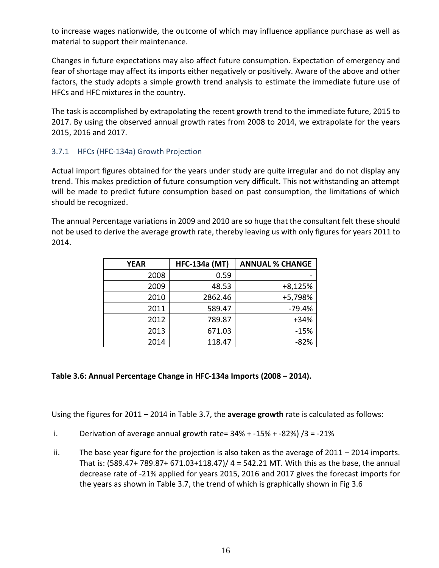to increase wages nationwide, the outcome of which may influence appliance purchase as well as material to support their maintenance.

Changes in future expectations may also affect future consumption. Expectation of emergency and fear of shortage may affect its imports either negatively or positively. Aware of the above and other factors, the study adopts a simple growth trend analysis to estimate the immediate future use of HFCs and HFC mixtures in the country.

The task is accomplished by extrapolating the recent growth trend to the immediate future, 2015 to 2017. By using the observed annual growth rates from 2008 to 2014, we extrapolate for the years 2015, 2016 and 2017.

## 3.7.1 HFCs (HFC-134a) Growth Projection

<span id="page-36-0"></span>Actual import figures obtained for the years under study are quite irregular and do not display any trend. This makes prediction of future consumption very difficult. This not withstanding an attempt will be made to predict future consumption based on past consumption, the limitations of which should be recognized.

The annual Percentage variations in 2009 and 2010 are so huge that the consultant felt these should not be used to derive the average growth rate, thereby leaving us with only figures for years 2011 to 2014.

| <b>YEAR</b> | <b>HFC-134a (MT)</b> | <b>ANNUAL % CHANGE</b> |
|-------------|----------------------|------------------------|
| 2008        | 0.59                 |                        |
| 2009        | 48.53                | $+8,125%$              |
| 2010        | 2862.46              | +5,798%                |
| 2011        | 589.47               | $-79.4%$               |
| 2012        | 789.87               | $+34%$                 |
| 2013        | 671.03               | $-15%$                 |
| 2014        | 118.47               | $-82%$                 |

#### **Table 3.6: Annual Percentage Change in HFC-134a Imports (2008 – 2014).**

Using the figures for 2011 – 2014 in Table 3.7, the **average growth** rate is calculated as follows:

- i. Derivation of average annual growth rate=  $34\% + -15\% + -82\%$  /3 =  $-21\%$
- ii. The base year figure for the projection is also taken as the average of 2011 2014 imports. That is: (589.47+ 789.87+ 671.03+118.47)/ 4 = 542.21 MT. With this as the base, the annual decrease rate of -21% applied for years 2015, 2016 and 2017 gives the forecast imports for the years as shown in Table 3.7, the trend of which is graphically shown in Fig 3.6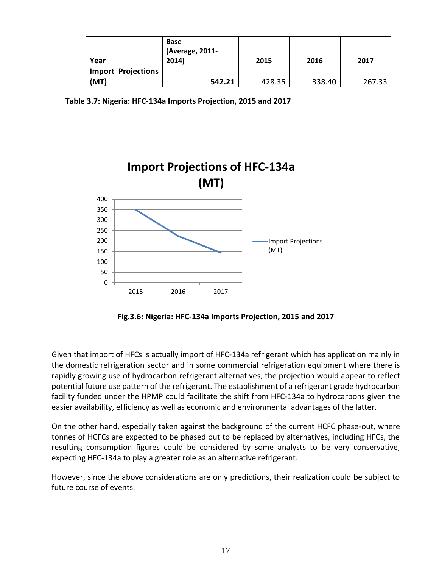| Year                      | <b>Base</b><br>(Average, 2011-<br>2014) | 2015   | 2016   | 2017   |
|---------------------------|-----------------------------------------|--------|--------|--------|
| <b>Import Projections</b> |                                         |        |        |        |
| (MT)                      | 542.21                                  | 428.35 | 338.40 | 267.33 |

 **Table 3.7: Nigeria: HFC-134a Imports Projection, 2015 and 2017**



**Fig.3.6: Nigeria: HFC-134a Imports Projection, 2015 and 2017**

Given that import of HFCs is actually import of HFC-134a refrigerant which has application mainly in the domestic refrigeration sector and in some commercial refrigeration equipment where there is rapidly growing use of hydrocarbon refrigerant alternatives, the projection would appear to reflect potential future use pattern of the refrigerant. The establishment of a refrigerant grade hydrocarbon facility funded under the HPMP could facilitate the shift from HFC-134a to hydrocarbons given the easier availability, efficiency as well as economic and environmental advantages of the latter.

On the other hand, especially taken against the background of the current HCFC phase-out, where tonnes of HCFCs are expected to be phased out to be replaced by alternatives, including HFCs, the resulting consumption figures could be considered by some analysts to be very conservative, expecting HFC-134a to play a greater role as an alternative refrigerant.

However, since the above considerations are only predictions, their realization could be subject to future course of events.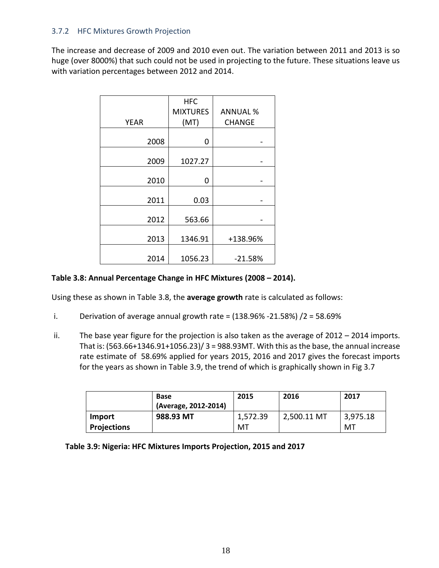## 3.7.2 HFC Mixtures Growth Projection

<span id="page-38-0"></span>The increase and decrease of 2009 and 2010 even out. The variation between 2011 and 2013 is so huge (over 8000%) that such could not be used in projecting to the future. These situations leave us with variation percentages between 2012 and 2014.

|             | <b>HFC</b>      |                 |  |
|-------------|-----------------|-----------------|--|
|             | <b>MIXTURES</b> | <b>ANNUAL %</b> |  |
| <b>YEAR</b> | (MT)            | <b>CHANGE</b>   |  |
|             |                 |                 |  |
| 2008        | 0               |                 |  |
| 2009        | 1027.27         |                 |  |
| 2010        | 0               |                 |  |
| 2011        | 0.03            |                 |  |
| 2012        | 563.66          |                 |  |
| 2013        | 1346.91         | +138.96%        |  |
| 2014        | 1056.23         | $-21.58%$       |  |

#### **Table 3.8: Annual Percentage Change in HFC Mixtures (2008 – 2014).**

Using these as shown in Table 3.8, the **average growth** rate is calculated as follows:

- i. Derivation of average annual growth rate =  $(138.96\% 21.58\%) / 2 = 58.69\%$
- ii. The base year figure for the projection is also taken as the average of  $2012 2014$  imports. That is:  $(563.66+1346.91+1056.23)/3 = 988.93$ MT. With this as the base, the annual increase rate estimate of 58.69% applied for years 2015, 2016 and 2017 gives the forecast imports for the years as shown in Table 3.9, the trend of which is graphically shown in Fig 3.7

|                    | <b>Base</b>          | 2015     | 2016        | 2017     |
|--------------------|----------------------|----------|-------------|----------|
|                    | (Average, 2012-2014) |          |             |          |
| Import             | 988.93 MT            | 1,572.39 | 2,500.11 MT | 3,975.18 |
| <b>Projections</b> |                      | MT       |             | MT       |

|  | Table 3.9: Nigeria: HFC Mixtures Imports Projection, 2015 and 2017 |
|--|--------------------------------------------------------------------|
|--|--------------------------------------------------------------------|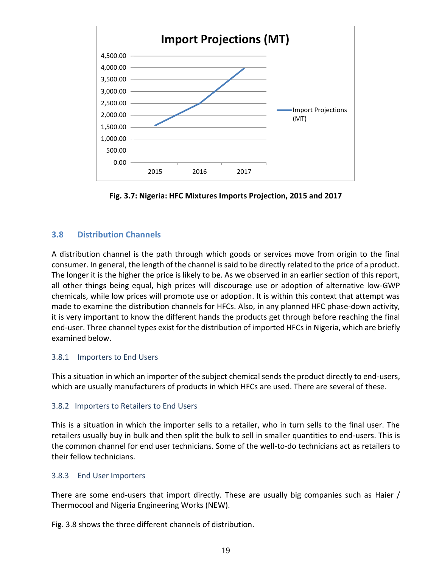

**Fig. 3.7: Nigeria: HFC Mixtures Imports Projection, 2015 and 2017**

## **3.8 Distribution Channels**

<span id="page-39-0"></span>A distribution channel is the path through which goods or services move from origin to the final consumer. In general, the length of the channel is said to be directly related to the price of a product. The longer it is the higher the price is likely to be. As we observed in an earlier section of this report, all other things being equal, high prices will discourage use or adoption of alternative low-GWP chemicals, while low prices will promote use or adoption. It is within this context that attempt was made to examine the distribution channels for HFCs. Also, in any planned HFC phase-down activity, it is very important to know the different hands the products get through before reaching the final end-user. Three channel types exist for the distribution of imported HFCs in Nigeria, which are briefly examined below.

## 3.8.1 Importers to End Users

<span id="page-39-1"></span>This a situation in which an importer of the subject chemical sends the product directly to end-users, which are usually manufacturers of products in which HFCs are used. There are several of these.

## 3.8.2 Importers to Retailers to End Users

<span id="page-39-2"></span>This is a situation in which the importer sells to a retailer, who in turn sells to the final user. The retailers usually buy in bulk and then split the bulk to sell in smaller quantities to end-users. This is the common channel for end user technicians. Some of the well-to-do technicians act as retailers to their fellow technicians.

## 3.8.3 End User Importers

<span id="page-39-3"></span>There are some end-users that import directly. These are usually big companies such as Haier / Thermocool and Nigeria Engineering Works (NEW).

Fig. 3.8 shows the three different channels of distribution.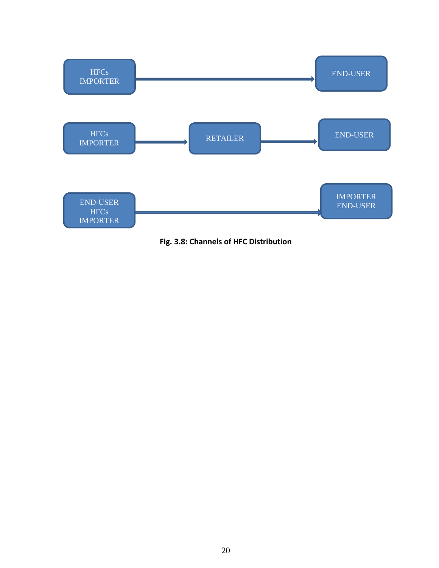

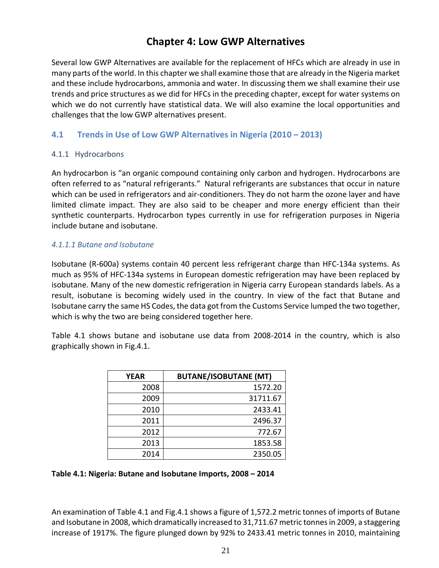# **Chapter 4: Low GWP Alternatives**

<span id="page-41-0"></span>Several low GWP Alternatives are available for the replacement of HFCs which are already in use in many parts of the world. In this chapter we shall examine those that are already in the Nigeria market and these include hydrocarbons, ammonia and water. In discussing them we shall examine their use trends and price structures as we did for HFCs in the preceding chapter, except for water systems on which we do not currently have statistical data. We will also examine the local opportunities and challenges that the low GWP alternatives present.

# **4.1 Trends in Use of Low GWP Alternatives in Nigeria (2010 – 2013)**

## <span id="page-41-1"></span>4.1.1 Hydrocarbons

<span id="page-41-2"></span>An hydrocarbon is "an organic compound containing only carbon and hydrogen. Hydrocarbons are often referred to as "natural refrigerants." Natural refrigerants are substances that occur in nature which can be used in refrigerators and air-conditioners. They do not harm the ozone layer and have limited climate impact. They are also said to be cheaper and more energy efficient than their synthetic counterparts. Hydrocarbon types currently in use for refrigeration purposes in Nigeria include butane and isobutane.

#### *4.1.1.1 Butane and Isobutane*

Isobutane (R-600a) systems contain 40 percent less refrigerant charge than HFC-134a systems. As much as 95% of HFC-134a systems in European domestic refrigeration may have been replaced by isobutane. Many of the new domestic refrigeration in Nigeria carry European standards labels. As a result, isobutane is becoming widely used in the country. In view of the fact that Butane and Isobutane carry the same HS Codes, the data got from the Customs Service lumped the two together, which is why the two are being considered together here.

Table 4.1 shows butane and isobutane use data from 2008-2014 in the country, which is also graphically shown in Fig.4.1.

| YEAR | <b>BUTANE/ISOBUTANE (MT)</b> |
|------|------------------------------|
| 2008 | 1572.20                      |
| 2009 | 31711.67                     |
| 2010 | 2433.41                      |
| 2011 | 2496.37                      |
| 2012 | 772.67                       |
| 2013 | 1853.58                      |
| 2014 | 2350.05                      |

#### **Table 4.1: Nigeria: Butane and Isobutane Imports, 2008 – 2014**

An examination of Table 4.1 and Fig.4.1 shows a figure of 1,572.2 metric tonnes of imports of Butane and Isobutane in 2008, which dramatically increased to 31,711.67 metric tonnes in 2009, a staggering increase of 1917%. The figure plunged down by 92% to 2433.41 metric tonnes in 2010, maintaining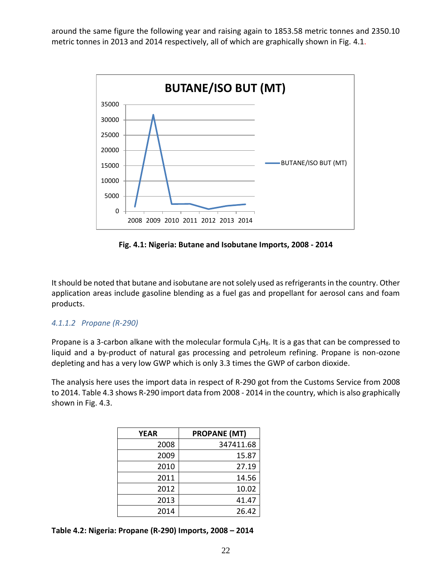around the same figure the following year and raising again to 1853.58 metric tonnes and 2350.10 metric tonnes in 2013 and 2014 respectively, all of which are graphically shown in Fig. 4.1.



**Fig. 4.1: Nigeria: Butane and Isobutane Imports, 2008 - 2014**

It should be noted that butane and isobutane are not solely used as refrigerants in the country. Other application areas include gasoline blending as a fuel gas and propellant for aerosol cans and foam products.

#### *4.1.1.2 Propane (R-290)*

Propane is a 3-carbon alkane with the molecular formula  $C_3H_8$ . It is a gas that can be compressed to liquid and a by-product of natural gas processing and petroleum refining. Propane is non-ozone depleting and has a very low GWP which is only 3.3 times the GWP of carbon dioxide.

The analysis here uses the import data in respect of R-290 got from the Customs Service from 2008 to 2014. Table 4.3 shows R-290 import data from 2008 - 2014 in the country, which is also graphically shown in Fig. 4.3.

| <b>YEAR</b> | <b>PROPANE (MT)</b> |
|-------------|---------------------|
| 2008        | 347411.68           |
| 2009        | 15.87               |
| 2010        | 27.19               |
| 2011        | 14.56               |
| 2012        | 10.02               |
| 2013        | 41.47               |
| 2014        | 26.42               |

**Table 4.2: Nigeria: Propane (R-290) Imports, 2008 – 2014**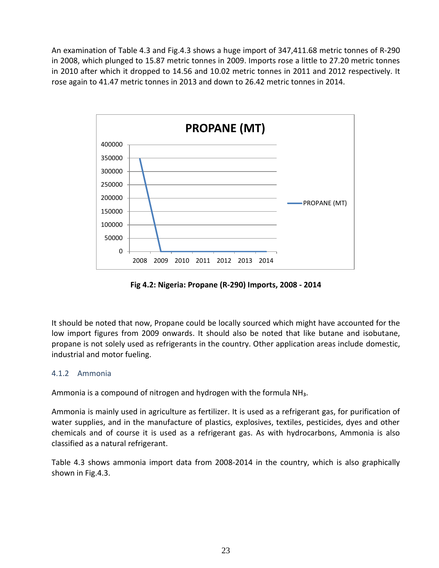An examination of Table 4.3 and Fig.4.3 shows a huge import of 347,411.68 metric tonnes of R-290 in 2008, which plunged to 15.87 metric tonnes in 2009. Imports rose a little to 27.20 metric tonnes in 2010 after which it dropped to 14.56 and 10.02 metric tonnes in 2011 and 2012 respectively. It rose again to 41.47 metric tonnes in 2013 and down to 26.42 metric tonnes in 2014.



**Fig 4.2: Nigeria: Propane (R-290) Imports, 2008 - 2014**

It should be noted that now, Propane could be locally sourced which might have accounted for the low import figures from 2009 onwards. It should also be noted that like butane and isobutane, propane is not solely used as refrigerants in the country. Other application areas include domestic, industrial and motor fueling.

## 4.1.2 Ammonia

<span id="page-43-0"></span>Ammonia is a compound of nitrogen and hydrogen with the formula NH<sub>3</sub>.

Ammonia is mainly used in agriculture as fertilizer. It is used as a refrigerant gas, for purification of water supplies, and in the manufacture of plastics, explosives, textiles, pesticides, dyes and other chemicals and of course it is used as a refrigerant gas. As with hydrocarbons, Ammonia is also classified as a natural refrigerant.

Table 4.3 shows ammonia import data from 2008-2014 in the country, which is also graphically shown in Fig.4.3.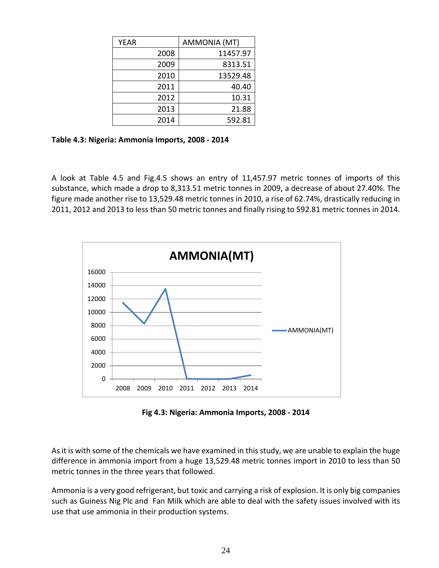| <b>YEAR</b> |      | AMMONIA (MT) |
|-------------|------|--------------|
|             | 2008 | 11457.97     |
|             | 2009 | 8313.51      |
|             | 2010 | 13529.48     |
|             | 2011 | 40.40        |
|             | 2012 | 10.31        |
|             | 2013 | 21.88        |
|             | 2014 | 592.81       |

**Table 4.3: Nigeria: Ammonia Imports, 2008 - 2014**

A look at Table 4.5 and Fig.4.5 shows an entry of 11,457.97 metric tonnes of imports of this substance, which made a drop to 8,313.51 metric tonnes in 2009, a decrease of about 27.40%. The figure made another rise to 13,529.48 metric tonnes in 2010, a rise of 62.74%, drastically reducing in 2011, 2012 and 2013 to less than 50 metric tonnes and finally rising to 592.81 metric tonnes in 2014.



**Fig 4.3: Nigeria: Ammonia Imports, 2008 - 2014**

As it is with some of the chemicals we have examined in this study, we are unable to explain the huge difference in ammonia import from a huge 13,529.48 metric tonnes import in 2010 to less than 50 metric tonnes in the three years that followed.

Ammonia is a very good refrigerant, but toxic and carrying a risk of explosion. It is only big companies such as Guiness Nig Plc and Fan Milk which are able to deal with the safety issues involved with its use that use ammonia in their production systems.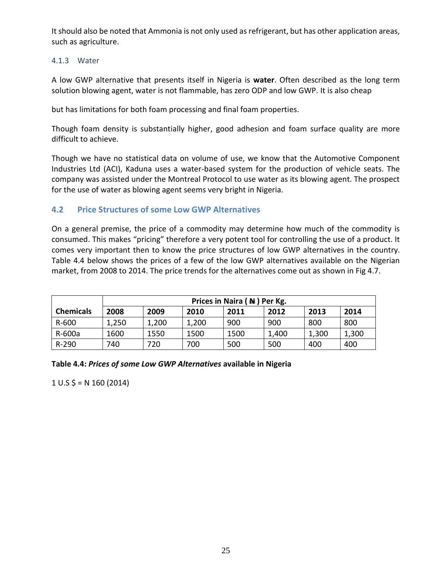It should also be noted that Ammonia is not only used as refrigerant, but has other application areas, such as agriculture.

## 4.1.3 Water

<span id="page-45-0"></span>A low GWP alternative that presents itself in Nigeria is **water**. Often described as the long term solution blowing agent, water is not flammable, has zero ODP and low GWP. It is also cheap

but has limitations for both foam processing and final foam properties.

Though foam density is substantially higher, good adhesion and foam surface quality are more difficult to achieve.

Though we have no statistical data on volume of use, we know that the Automotive Component Industries Ltd (ACI), Kaduna uses a water-based system for the production of vehicle seats. The company was assisted under the Montreal Protocol to use water as its blowing agent. The prospect for the use of water as blowing agent seems very bright in Nigeria.

## **4.2 Price Structures of some Low GWP Alternatives**

<span id="page-45-1"></span>On a general premise, the price of a commodity may determine how much of the commodity is consumed. This makes "pricing" therefore a very potent tool for controlling the use of a product. It comes very important then to know the price structures of low GWP alternatives in the country. Table 4.4 below shows the prices of a few of the low GWP alternatives available on the Nigerian market, from 2008 to 2014. The price trends for the alternatives come out as shown in Fig 4.7.

|                  | Prices in Naira $($ $\blacktriangle$ $)$ Per Kg.     |       |       |      |       |       |       |
|------------------|------------------------------------------------------|-------|-------|------|-------|-------|-------|
| <b>Chemicals</b> | 2008<br>2014<br>2009<br>2012<br>2013<br>2010<br>2011 |       |       |      |       |       |       |
| R-600            | 1,250                                                | 1,200 | 1,200 | 900  | 900   | 800   | 800   |
| R-600a           | 1600                                                 | 1550  | 1500  | 1500 | 1,400 | 1,300 | 1,300 |
| $R-290$          | 740                                                  | 720   | 700   | 500  | 500   | 400   | 400   |

**Table 4.4:** *Prices of some Low GWP Alternatives* **available in Nigeria** 

 $1 \cup S$  \$ = N 160 (2014)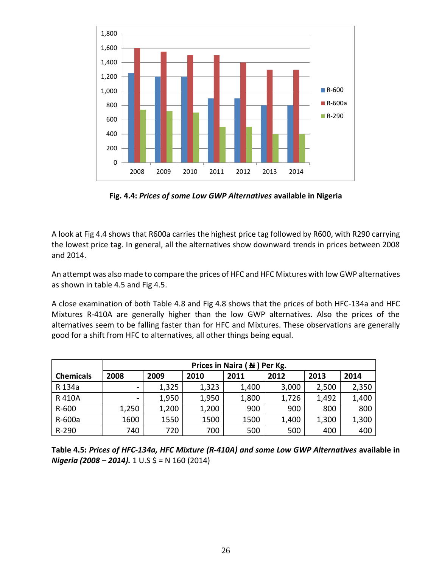

**Fig. 4.4:** *Prices of some Low GWP Alternatives* **available in Nigeria**

A look at Fig 4.4 shows that R600a carries the highest price tag followed by R600, with R290 carrying the lowest price tag. In general, all the alternatives show downward trends in prices between 2008 and 2014.

An attempt was also made to compare the prices of HFC and HFC Mixtures with low GWP alternatives as shown in table 4.5 and Fig 4.5.

A close examination of both Table 4.8 and Fig 4.8 shows that the prices of both HFC-134a and HFC Mixtures R-410A are generally higher than the low GWP alternatives. Also the prices of the alternatives seem to be falling faster than for HFC and Mixtures. These observations are generally good for a shift from HFC to alternatives, all other things being equal.

|                  | Prices in Naira $($ $\blacktriangle$ $)$ Per Kg. |       |       |       |       |       |       |
|------------------|--------------------------------------------------|-------|-------|-------|-------|-------|-------|
| <b>Chemicals</b> | 2008                                             | 2009  | 2010  | 2011  | 2012  | 2013  | 2014  |
| R 134a           |                                                  | 1,325 | 1,323 | 1,400 | 3,000 | 2,500 | 2,350 |
| R 410A           |                                                  | 1,950 | 1,950 | 1,800 | 1,726 | 1,492 | 1,400 |
| R-600            | 1,250                                            | 1,200 | 1,200 | 900   | 900   | 800   | 800   |
| R-600a           | 1600                                             | 1550  | 1500  | 1500  | 1,400 | 1,300 | 1,300 |
| R-290            | 740                                              | 720   | 700   | 500   | 500   | 400   | 400   |

**Table 4.5:** *Prices of HFC-134a, HFC Mixture (R-410A) and some Low GWP Alternatives* **available in** *Nigeria (2008 – 2014).* 1 U.S \$ = N 160 (2014)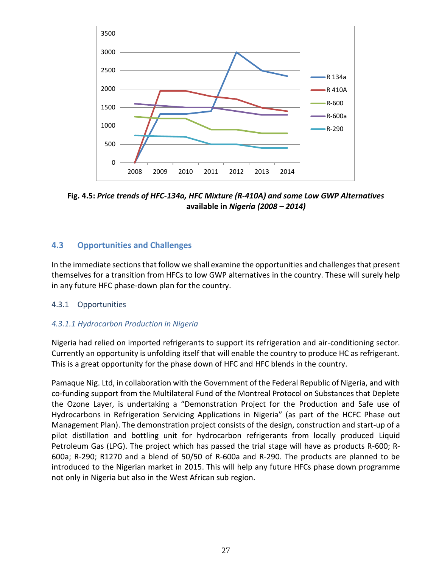

**Fig. 4.5:** *Price trends of HFC-134a, HFC Mixture (R-410A) and some Low GWP Alternatives* **available in** *Nigeria (2008 – 2014)*

# **4.3 Opportunities and Challenges**

<span id="page-47-0"></span>In the immediate sections that follow we shall examine the opportunities and challenges that present themselves for a transition from HFCs to low GWP alternatives in the country. These will surely help in any future HFC phase-down plan for the country.

## 4.3.1 Opportunities

## <span id="page-47-1"></span>*4.3.1.1 Hydrocarbon Production in Nigeria*

Nigeria had relied on imported refrigerants to support its refrigeration and air-conditioning sector. Currently an opportunity is unfolding itself that will enable the country to produce HC as refrigerant. This is a great opportunity for the phase down of HFC and HFC blends in the country.

Pamaque Nig. Ltd, in collaboration with the Government of the Federal Republic of Nigeria, and with co-funding support from the Multilateral Fund of the Montreal Protocol on Substances that Deplete the Ozone Layer, is undertaking a "Demonstration Project for the Production and Safe use of Hydrocarbons in Refrigeration Servicing Applications in Nigeria" (as part of the HCFC Phase out Management Plan). The demonstration project consists of the design, construction and start-up of a pilot distillation and bottling unit for hydrocarbon refrigerants from locally produced Liquid Petroleum Gas (LPG). The project which has passed the trial stage will have as products R-600; R-600a; R-290; R1270 and a blend of 50/50 of R-600a and R-290. The products are planned to be introduced to the Nigerian market in 2015. This will help any future HFCs phase down programme not only in Nigeria but also in the West African sub region.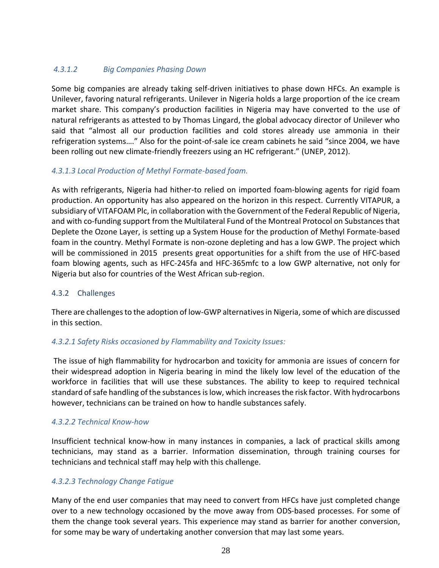## *4.3.1.2 Big Companies Phasing Down*

Some big companies are already taking self-driven initiatives to phase down HFCs. An example is Unilever, favoring natural refrigerants. Unilever in Nigeria holds a large proportion of the ice cream market share. This company's production facilities in Nigeria may have converted to the use of natural refrigerants as attested to by Thomas Lingard, the global advocacy director of Unilever who said that "almost all our production facilities and cold stores already use ammonia in their refrigeration systems…." Also for the point-of-sale ice cream cabinets he said "since 2004, we have been rolling out new climate-friendly freezers using an HC refrigerant." (UNEP, 2012).

## *4.3.1.3 Local Production of Methyl Formate-based foam.*

As with refrigerants, Nigeria had hither-to relied on imported foam-blowing agents for rigid foam production. An opportunity has also appeared on the horizon in this respect. Currently VITAPUR, a subsidiary of VITAFOAM Plc, in collaboration with the Government of the Federal Republic of Nigeria, and with co-funding support from the Multilateral Fund of the Montreal Protocol on Substances that Deplete the Ozone Layer, is setting up a System House for the production of Methyl Formate-based foam in the country. Methyl Formate is non-ozone depleting and has a low GWP. The project which will be commissioned in 2015 presents great opportunities for a shift from the use of HFC-based foam blowing agents, such as HFC-245fa and HFC-365mfc to a low GWP alternative, not only for Nigeria but also for countries of the West African sub-region.

## 4.3.2 Challenges

<span id="page-48-0"></span>There are challenges to the adoption of low-GWP alternatives in Nigeria, some of which are discussed in this section.

## *4.3.2.1 Safety Risks occasioned by Flammability and Toxicity Issues:*

The issue of high flammability for hydrocarbon and toxicity for ammonia are issues of concern for their widespread adoption in Nigeria bearing in mind the likely low level of the education of the workforce in facilities that will use these substances. The ability to keep to required technical standard of safe handling of the substances is low, which increases the risk factor. With hydrocarbons however, technicians can be trained on how to handle substances safely.

## *4.3.2.2 Technical Know-how*

Insufficient technical know-how in many instances in companies, a lack of practical skills among technicians, may stand as a barrier. Information dissemination, through training courses for technicians and technical staff may help with this challenge.

## *4.3.2.3 Technology Change Fatigue*

Many of the end user companies that may need to convert from HFCs have just completed change over to a new technology occasioned by the move away from ODS-based processes. For some of them the change took several years. This experience may stand as barrier for another conversion, for some may be wary of undertaking another conversion that may last some years.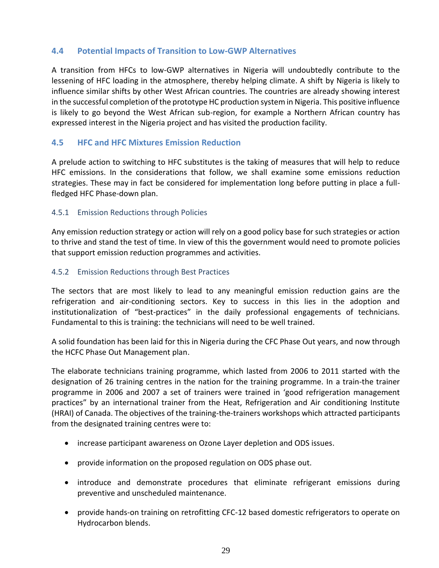## **4.4 Potential Impacts of Transition to Low-GWP Alternatives**

<span id="page-49-0"></span>A transition from HFCs to low-GWP alternatives in Nigeria will undoubtedly contribute to the lessening of HFC loading in the atmosphere, thereby helping climate. A shift by Nigeria is likely to influence similar shifts by other West African countries. The countries are already showing interest in the successful completion of the prototype HC production system in Nigeria. This positive influence is likely to go beyond the West African sub-region, for example a Northern African country has expressed interest in the Nigeria project and has visited the production facility.

## **4.5 HFC and HFC Mixtures Emission Reduction**

<span id="page-49-1"></span>A prelude action to switching to HFC substitutes is the taking of measures that will help to reduce HFC emissions. In the considerations that follow, we shall examine some emissions reduction strategies. These may in fact be considered for implementation long before putting in place a fullfledged HFC Phase-down plan.

## 4.5.1 Emission Reductions through Policies

<span id="page-49-2"></span>Any emission reduction strategy or action will rely on a good policy base for such strategies or action to thrive and stand the test of time. In view of this the government would need to promote policies that support emission reduction programmes and activities.

## 4.5.2 Emission Reductions through Best Practices

<span id="page-49-3"></span>The sectors that are most likely to lead to any meaningful emission reduction gains are the refrigeration and air-conditioning sectors. Key to success in this lies in the adoption and institutionalization of "best-practices" in the daily professional engagements of technicians. Fundamental to this is training: the technicians will need to be well trained.

A solid foundation has been laid for this in Nigeria during the CFC Phase Out years, and now through the HCFC Phase Out Management plan.

The elaborate technicians training programme, which lasted from 2006 to 2011 started with the designation of 26 training centres in the nation for the training programme. In a train-the trainer programme in 2006 and 2007 a set of trainers were trained in 'good refrigeration management practices" by an international trainer from the Heat, Refrigeration and Air conditioning Institute (HRAI) of Canada. The objectives of the training-the-trainers workshops which attracted participants from the designated training centres were to:

- increase participant awareness on Ozone Layer depletion and ODS issues.
- provide information on the proposed regulation on ODS phase out.
- introduce and demonstrate procedures that eliminate refrigerant emissions during preventive and unscheduled maintenance.
- provide hands-on training on retrofitting CFC-12 based domestic refrigerators to operate on Hydrocarbon blends.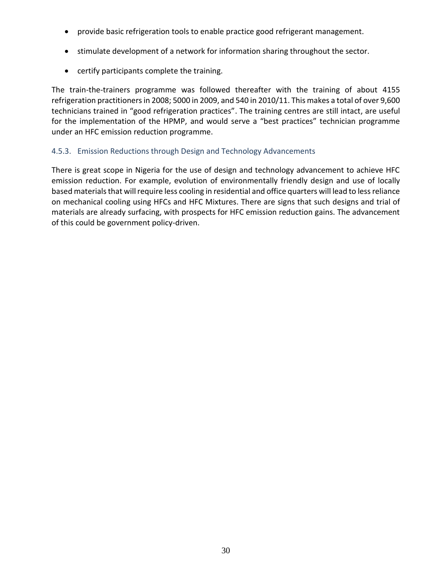- provide basic refrigeration tools to enable practice good refrigerant management.
- stimulate development of a network for information sharing throughout the sector.
- certify participants complete the training.

The train-the-trainers programme was followed thereafter with the training of about 4155 refrigeration practitioners in 2008; 5000 in 2009, and 540 in 2010/11. This makes a total of over 9,600 technicians trained in "good refrigeration practices". The training centres are still intact, are useful for the implementation of the HPMP, and would serve a "best practices" technician programme under an HFC emission reduction programme.

## 4.5.3. Emission Reductions through Design and Technology Advancements

<span id="page-50-0"></span>There is great scope in Nigeria for the use of design and technology advancement to achieve HFC emission reduction. For example, evolution of environmentally friendly design and use of locally based materials that will require less cooling in residential and office quarters will lead to less reliance on mechanical cooling using HFCs and HFC Mixtures. There are signs that such designs and trial of materials are already surfacing, with prospects for HFC emission reduction gains. The advancement of this could be government policy-driven.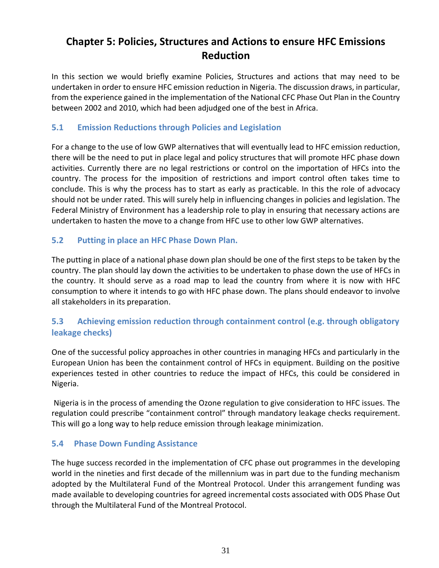# **Chapter 5: Policies, Structures and Actions to ensure HFC Emissions Reduction**

<span id="page-51-0"></span>In this section we would briefly examine Policies, Structures and actions that may need to be undertaken in order to ensure HFC emission reduction in Nigeria. The discussion draws, in particular, from the experience gained in the implementation of the National CFC Phase Out Plan in the Country between 2002 and 2010, which had been adjudged one of the best in Africa.

## **5.1 Emission Reductions through Policies and Legislation**

<span id="page-51-1"></span>For a change to the use of low GWP alternatives that will eventually lead to HFC emission reduction, there will be the need to put in place legal and policy structures that will promote HFC phase down activities. Currently there are no legal restrictions or control on the importation of HFCs into the country. The process for the imposition of restrictions and import control often takes time to conclude. This is why the process has to start as early as practicable. In this the role of advocacy should not be under rated. This will surely help in influencing changes in policies and legislation. The Federal Ministry of Environment has a leadership role to play in ensuring that necessary actions are undertaken to hasten the move to a change from HFC use to other low GWP alternatives.

## **5.2 Putting in place an HFC Phase Down Plan.**

<span id="page-51-2"></span>The putting in place of a national phase down plan should be one of the first steps to be taken by the country. The plan should lay down the activities to be undertaken to phase down the use of HFCs in the country. It should serve as a road map to lead the country from where it is now with HFC consumption to where it intends to go with HFC phase down. The plans should endeavor to involve all stakeholders in its preparation.

# **5.3 Achieving emission reduction through containment control (e.g. through obligatory leakage checks)**

<span id="page-51-3"></span>One of the successful policy approaches in other countries in managing HFCs and particularly in the European Union has been the containment control of HFCs in equipment. Building on the positive experiences tested in other countries to reduce the impact of HFCs, this could be considered in Nigeria.

Nigeria is in the process of amending the Ozone regulation to give consideration to HFC issues. The regulation could prescribe "containment control" through mandatory leakage checks requirement. This will go a long way to help reduce emission through leakage minimization.

## **5.4 Phase Down Funding Assistance**

<span id="page-51-4"></span>The huge success recorded in the implementation of CFC phase out programmes in the developing world in the nineties and first decade of the millennium was in part due to the funding mechanism adopted by the Multilateral Fund of the Montreal Protocol. Under this arrangement funding was made available to developing countries for agreed incremental costs associated with ODS Phase Out through the Multilateral Fund of the Montreal Protocol.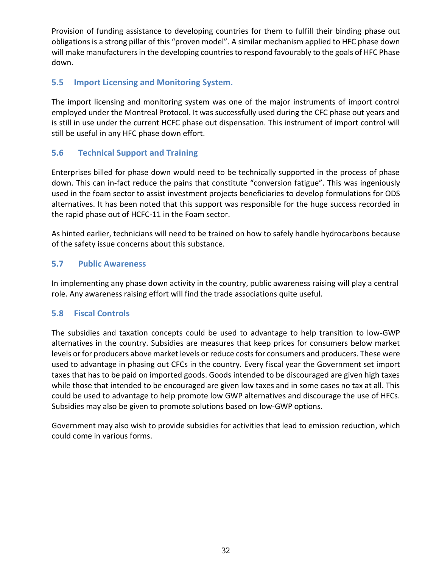Provision of funding assistance to developing countries for them to fulfill their binding phase out obligations is a strong pillar of this "proven model". A similar mechanism applied to HFC phase down will make manufacturers in the developing countries to respond favourably to the goals of HFC Phase down.

# **5.5 Import Licensing and Monitoring System.**

<span id="page-52-0"></span>The import licensing and monitoring system was one of the major instruments of import control employed under the Montreal Protocol. It was successfully used during the CFC phase out years and is still in use under the current HCFC phase out dispensation. This instrument of import control will still be useful in any HFC phase down effort.

# **5.6 Technical Support and Training**

<span id="page-52-1"></span>Enterprises billed for phase down would need to be technically supported in the process of phase down. This can in-fact reduce the pains that constitute "conversion fatigue". This was ingeniously used in the foam sector to assist investment projects beneficiaries to develop formulations for ODS alternatives. It has been noted that this support was responsible for the huge success recorded in the rapid phase out of HCFC-11 in the Foam sector.

As hinted earlier, technicians will need to be trained on how to safely handle hydrocarbons because of the safety issue concerns about this substance.

## **5.7 Public Awareness**

<span id="page-52-2"></span>In implementing any phase down activity in the country, public awareness raising will play a central role. Any awareness raising effort will find the trade associations quite useful.

# **5.8 Fiscal Controls**

<span id="page-52-3"></span>The subsidies and taxation concepts could be used to advantage to help transition to low-GWP alternatives in the country. Subsidies are measures that keep prices for consumers below market levels or for producers above market levels or reduce costs for consumers and producers. These were used to advantage in phasing out CFCs in the country. Every fiscal year the Government set import taxes that has to be paid on imported goods. Goods intended to be discouraged are given high taxes while those that intended to be encouraged are given low taxes and in some cases no tax at all. This could be used to advantage to help promote low GWP alternatives and discourage the use of HFCs. Subsidies may also be given to promote solutions based on low-GWP options.

Government may also wish to provide subsidies for activities that lead to emission reduction, which could come in various forms.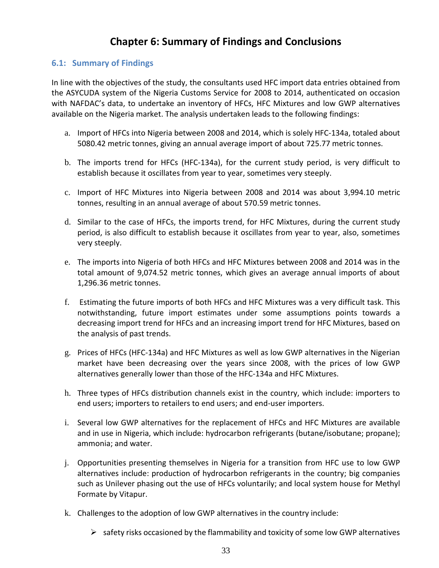# **Chapter 6: Summary of Findings and Conclusions**

## <span id="page-53-0"></span>**6.1: Summary of Findings**

<span id="page-53-1"></span>In line with the objectives of the study, the consultants used HFC import data entries obtained from the ASYCUDA system of the Nigeria Customs Service for 2008 to 2014, authenticated on occasion with NAFDAC's data, to undertake an inventory of HFCs, HFC Mixtures and low GWP alternatives available on the Nigeria market. The analysis undertaken leads to the following findings:

- a. Import of HFCs into Nigeria between 2008 and 2014, which is solely HFC-134a, totaled about 5080.42 metric tonnes, giving an annual average import of about 725.77 metric tonnes.
- b. The imports trend for HFCs (HFC-134a), for the current study period, is very difficult to establish because it oscillates from year to year, sometimes very steeply.
- c. Import of HFC Mixtures into Nigeria between 2008 and 2014 was about 3,994.10 metric tonnes, resulting in an annual average of about 570.59 metric tonnes.
- d. Similar to the case of HFCs, the imports trend, for HFC Mixtures, during the current study period, is also difficult to establish because it oscillates from year to year, also, sometimes very steeply.
- e. The imports into Nigeria of both HFCs and HFC Mixtures between 2008 and 2014 was in the total amount of 9,074.52 metric tonnes, which gives an average annual imports of about 1,296.36 metric tonnes.
- f. Estimating the future imports of both HFCs and HFC Mixtures was a very difficult task. This notwithstanding, future import estimates under some assumptions points towards a decreasing import trend for HFCs and an increasing import trend for HFC Mixtures, based on the analysis of past trends.
- g. Prices of HFCs (HFC-134a) and HFC Mixtures as well as low GWP alternatives in the Nigerian market have been decreasing over the years since 2008, with the prices of low GWP alternatives generally lower than those of the HFC-134a and HFC Mixtures.
- h. Three types of HFCs distribution channels exist in the country, which include: importers to end users; importers to retailers to end users; and end-user importers.
- i. Several low GWP alternatives for the replacement of HFCs and HFC Mixtures are available and in use in Nigeria, which include: hydrocarbon refrigerants (butane/isobutane; propane); ammonia; and water.
- j. Opportunities presenting themselves in Nigeria for a transition from HFC use to low GWP alternatives include: production of hydrocarbon refrigerants in the country; big companies such as Unilever phasing out the use of HFCs voluntarily; and local system house for Methyl Formate by Vitapur.
- k. Challenges to the adoption of low GWP alternatives in the country include:
	- $\triangleright$  safety risks occasioned by the flammability and toxicity of some low GWP alternatives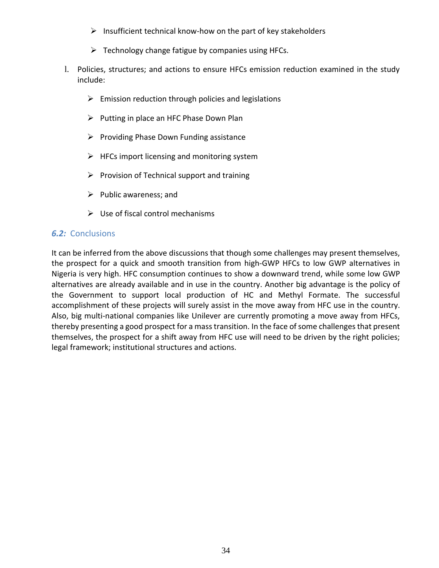- $\triangleright$  Insufficient technical know-how on the part of key stakeholders
- $\triangleright$  Technology change fatigue by companies using HFCs.
- l. Policies, structures; and actions to ensure HFCs emission reduction examined in the study include:
	- $\triangleright$  Emission reduction through policies and legislations
	- $\triangleright$  Putting in place an HFC Phase Down Plan
	- $\triangleright$  Providing Phase Down Funding assistance
	- $\triangleright$  HFCs import licensing and monitoring system
	- $\triangleright$  Provision of Technical support and training
	- $\triangleright$  Public awareness; and
	- $\triangleright$  Use of fiscal control mechanisms

## *6.2:* Conclusions

<span id="page-54-0"></span>It can be inferred from the above discussions that though some challenges may present themselves, the prospect for a quick and smooth transition from high-GWP HFCs to low GWP alternatives in Nigeria is very high. HFC consumption continues to show a downward trend, while some low GWP alternatives are already available and in use in the country. Another big advantage is the policy of the Government to support local production of HC and Methyl Formate. The successful accomplishment of these projects will surely assist in the move away from HFC use in the country. Also, big multi-national companies like Unilever are currently promoting a move away from HFCs, thereby presenting a good prospect for a mass transition. In the face of some challenges that present themselves, the prospect for a shift away from HFC use will need to be driven by the right policies; legal framework; institutional structures and actions.